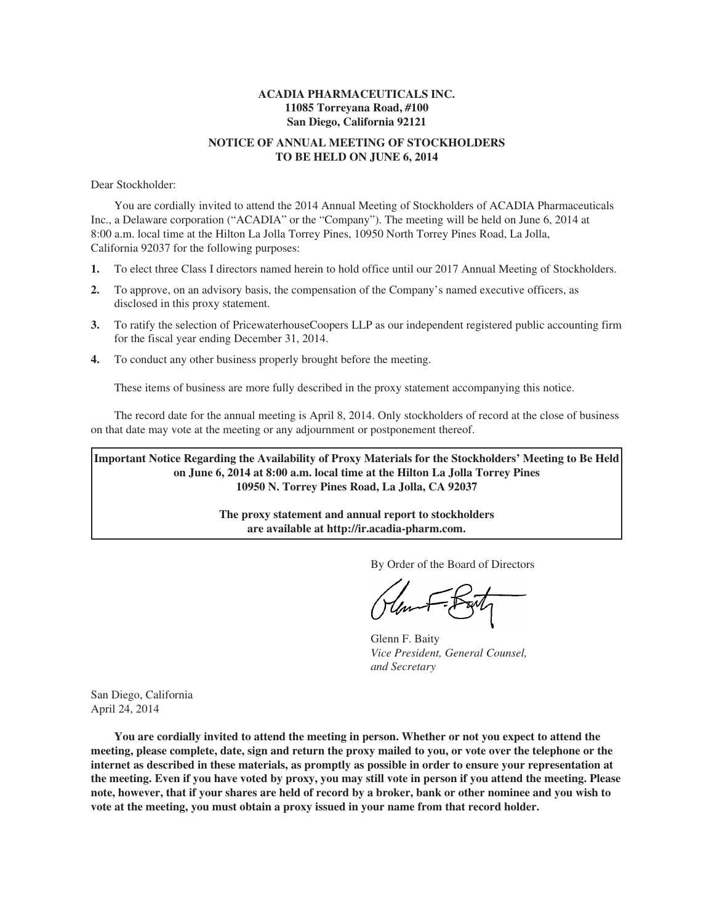## **ACADIA PHARMACEUTICALS INC. 11085 Torreyana Road, #100 San Diego, California 92121**

## **NOTICE OF ANNUAL MEETING OF STOCKHOLDERS TO BE HELD ON JUNE 6, 2014**

Dear Stockholder:

You are cordially invited to attend the 2014 Annual Meeting of Stockholders of ACADIA Pharmaceuticals Inc., a Delaware corporation ("ACADIA" or the "Company"). The meeting will be held on June 6, 2014 at 8:00 a.m. local time at the Hilton La Jolla Torrey Pines, 10950 North Torrey Pines Road, La Jolla, California 92037 for the following purposes:

- **1.** To elect three Class I directors named herein to hold office until our 2017 Annual Meeting of Stockholders.
- **2.** To approve, on an advisory basis, the compensation of the Company's named executive officers, as disclosed in this proxy statement.
- **3.** To ratify the selection of PricewaterhouseCoopers LLP as our independent registered public accounting firm for the fiscal year ending December 31, 2014.
- **4.** To conduct any other business properly brought before the meeting.

These items of business are more fully described in the proxy statement accompanying this notice.

The record date for the annual meeting is April 8, 2014. Only stockholders of record at the close of business on that date may vote at the meeting or any adjournment or postponement thereof.

**Important Notice Regarding the Availability of Proxy Materials for the Stockholders' Meeting to Be Held on June 6, 2014 at 8:00 a.m. local time at the Hilton La Jolla Torrey Pines 10950 N. Torrey Pines Road, La Jolla, CA 92037**

> **The proxy statement and annual report to stockholders are available at http://ir.acadia-pharm.com.**

> > By Order of the Board of Directors

Glenn F. Baity *Vice President, General Counsel, and Secretary*

San Diego, California April 24, 2014

**You are cordially invited to attend the meeting in person. Whether or not you expect to attend the meeting, please complete, date, sign and return the proxy mailed to you, or vote over the telephone or the internet as described in these materials, as promptly as possible in order to ensure your representation at the meeting. Even if you have voted by proxy, you may still vote in person if you attend the meeting. Please note, however, that if your shares are held of record by a broker, bank or other nominee and you wish to vote at the meeting, you must obtain a proxy issued in your name from that record holder.**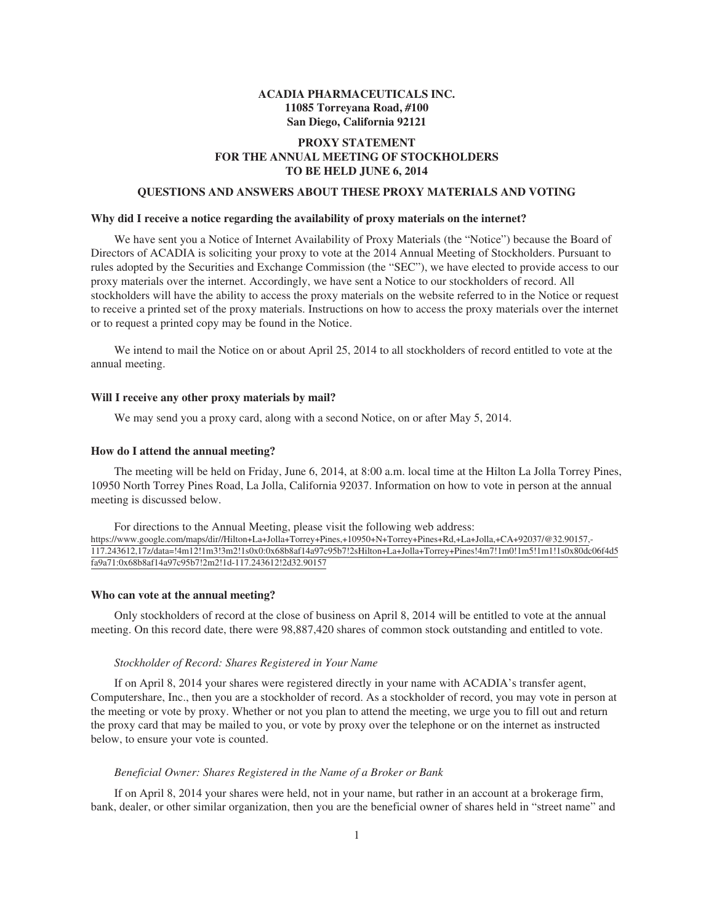## **ACADIA PHARMACEUTICALS INC. 11085 Torreyana Road, #100 San Diego, California 92121**

## **PROXY STATEMENT FOR THE ANNUAL MEETING OF STOCKHOLDERS TO BE HELD JUNE 6, 2014**

## **QUESTIONS AND ANSWERS ABOUT THESE PROXY MATERIALS AND VOTING**

## **Why did I receive a notice regarding the availability of proxy materials on the internet?**

We have sent you a Notice of Internet Availability of Proxy Materials (the "Notice") because the Board of Directors of ACADIA is soliciting your proxy to vote at the 2014 Annual Meeting of Stockholders. Pursuant to rules adopted by the Securities and Exchange Commission (the "SEC"), we have elected to provide access to our proxy materials over the internet. Accordingly, we have sent a Notice to our stockholders of record. All stockholders will have the ability to access the proxy materials on the website referred to in the Notice or request to receive a printed set of the proxy materials. Instructions on how to access the proxy materials over the internet or to request a printed copy may be found in the Notice.

We intend to mail the Notice on or about April 25, 2014 to all stockholders of record entitled to vote at the annual meeting.

## **Will I receive any other proxy materials by mail?**

We may send you a proxy card, along with a second Notice, on or after May 5, 2014.

#### **How do I attend the annual meeting?**

The meeting will be held on Friday, June 6, 2014, at 8:00 a.m. local time at the Hilton La Jolla Torrey Pines, 10950 North Torrey Pines Road, La Jolla, California 92037. Information on how to vote in person at the annual meeting is discussed below.

For directions to the Annual Meeting, please visit the following web address: https://www.google.com/maps/dir//Hilton+La+Jolla+Torrey+Pines,+10950+N+Torrey+Pines+Rd,+La+Jolla,+CA+92037/@32.90157,- 117.243612,17z/data=!4m12!1m3!3m2!1s0x0:0x68b8af14a97c95b7!2sHilton+La+Jolla+Torrey+Pines!4m7!1m0!1m5!1m1!1s0x80dc06f4d5 fa9a71:0x68b8af14a97c95b7!2m2!1d-117.243612!2d32.90157

#### **Who can vote at the annual meeting?**

Only stockholders of record at the close of business on April 8, 2014 will be entitled to vote at the annual meeting. On this record date, there were 98,887,420 shares of common stock outstanding and entitled to vote.

#### *Stockholder of Record: Shares Registered in Your Name*

If on April 8, 2014 your shares were registered directly in your name with ACADIA's transfer agent, Computershare, Inc., then you are a stockholder of record. As a stockholder of record, you may vote in person at the meeting or vote by proxy. Whether or not you plan to attend the meeting, we urge you to fill out and return the proxy card that may be mailed to you, or vote by proxy over the telephone or on the internet as instructed below, to ensure your vote is counted.

#### *Beneficial Owner: Shares Registered in the Name of a Broker or Bank*

If on April 8, 2014 your shares were held, not in your name, but rather in an account at a brokerage firm, bank, dealer, or other similar organization, then you are the beneficial owner of shares held in "street name" and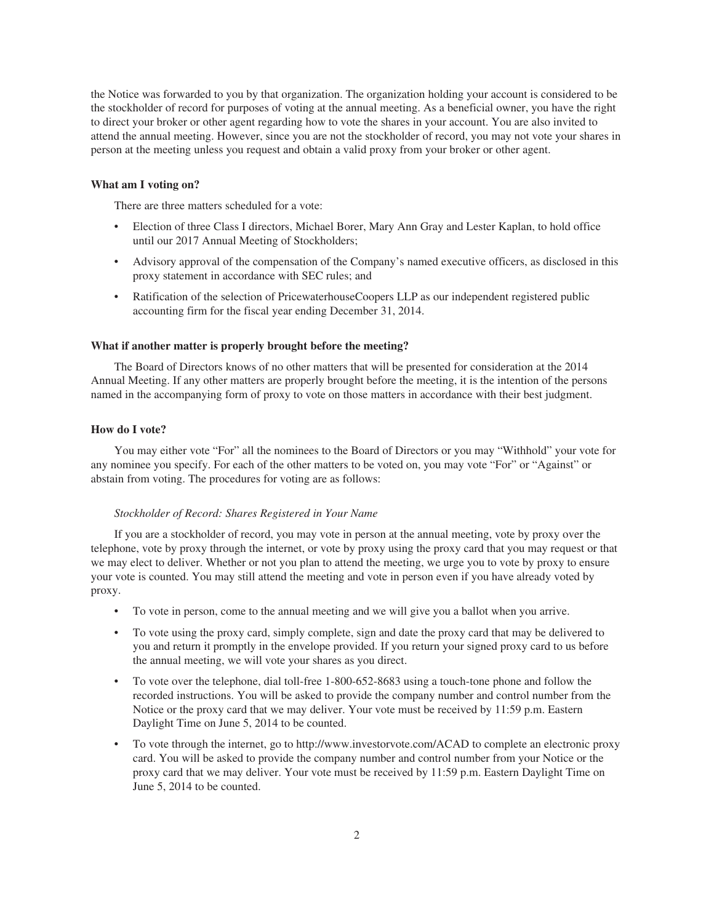the Notice was forwarded to you by that organization. The organization holding your account is considered to be the stockholder of record for purposes of voting at the annual meeting. As a beneficial owner, you have the right to direct your broker or other agent regarding how to vote the shares in your account. You are also invited to attend the annual meeting. However, since you are not the stockholder of record, you may not vote your shares in person at the meeting unless you request and obtain a valid proxy from your broker or other agent.

## **What am I voting on?**

There are three matters scheduled for a vote:

- Election of three Class I directors, Michael Borer, Mary Ann Gray and Lester Kaplan, to hold office until our 2017 Annual Meeting of Stockholders;
- Advisory approval of the compensation of the Company's named executive officers, as disclosed in this proxy statement in accordance with SEC rules; and
- Ratification of the selection of PricewaterhouseCoopers LLP as our independent registered public accounting firm for the fiscal year ending December 31, 2014.

## **What if another matter is properly brought before the meeting?**

The Board of Directors knows of no other matters that will be presented for consideration at the 2014 Annual Meeting. If any other matters are properly brought before the meeting, it is the intention of the persons named in the accompanying form of proxy to vote on those matters in accordance with their best judgment.

## **How do I vote?**

You may either vote "For" all the nominees to the Board of Directors or you may "Withhold" your vote for any nominee you specify. For each of the other matters to be voted on, you may vote "For" or "Against" or abstain from voting. The procedures for voting are as follows:

### *Stockholder of Record: Shares Registered in Your Name*

If you are a stockholder of record, you may vote in person at the annual meeting, vote by proxy over the telephone, vote by proxy through the internet, or vote by proxy using the proxy card that you may request or that we may elect to deliver. Whether or not you plan to attend the meeting, we urge you to vote by proxy to ensure your vote is counted. You may still attend the meeting and vote in person even if you have already voted by proxy.

- To vote in person, come to the annual meeting and we will give you a ballot when you arrive.
- To vote using the proxy card, simply complete, sign and date the proxy card that may be delivered to you and return it promptly in the envelope provided. If you return your signed proxy card to us before the annual meeting, we will vote your shares as you direct.
- To vote over the telephone, dial toll-free 1-800-652-8683 using a touch-tone phone and follow the recorded instructions. You will be asked to provide the company number and control number from the Notice or the proxy card that we may deliver. Your vote must be received by 11:59 p.m. Eastern Daylight Time on June 5, 2014 to be counted.
- To vote through the internet, go to http://www.investorvote.com/ACAD to complete an electronic proxy card. You will be asked to provide the company number and control number from your Notice or the proxy card that we may deliver. Your vote must be received by 11:59 p.m. Eastern Daylight Time on June 5, 2014 to be counted.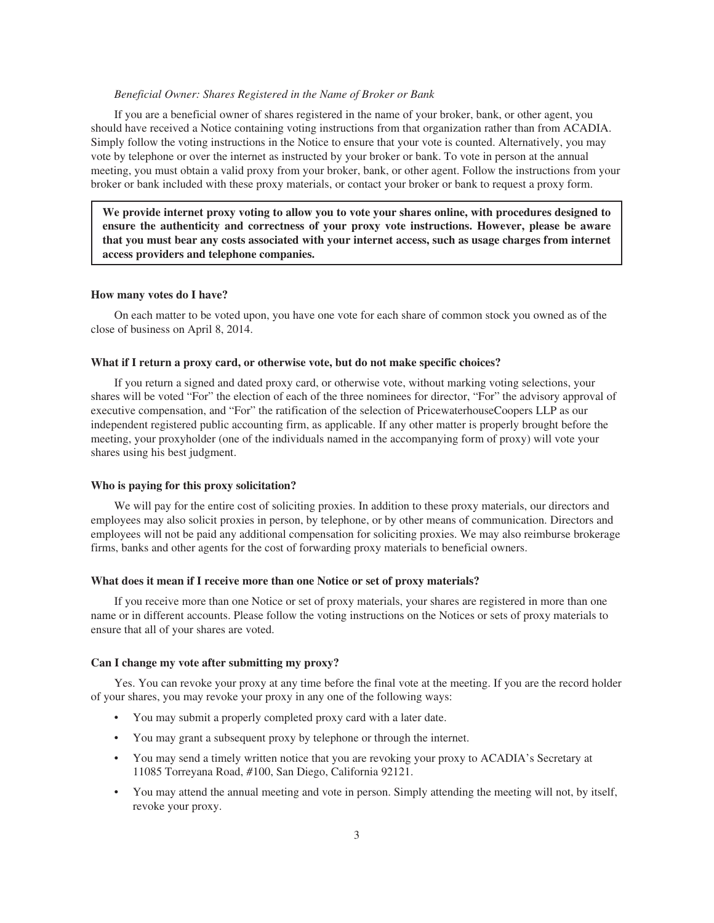#### *Beneficial Owner: Shares Registered in the Name of Broker or Bank*

If you are a beneficial owner of shares registered in the name of your broker, bank, or other agent, you should have received a Notice containing voting instructions from that organization rather than from ACADIA. Simply follow the voting instructions in the Notice to ensure that your vote is counted. Alternatively, you may vote by telephone or over the internet as instructed by your broker or bank. To vote in person at the annual meeting, you must obtain a valid proxy from your broker, bank, or other agent. Follow the instructions from your broker or bank included with these proxy materials, or contact your broker or bank to request a proxy form.

**We provide internet proxy voting to allow you to vote your shares online, with procedures designed to ensure the authenticity and correctness of your proxy vote instructions. However, please be aware that you must bear any costs associated with your internet access, such as usage charges from internet access providers and telephone companies.**

### **How many votes do I have?**

On each matter to be voted upon, you have one vote for each share of common stock you owned as of the close of business on April 8, 2014.

#### **What if I return a proxy card, or otherwise vote, but do not make specific choices?**

If you return a signed and dated proxy card, or otherwise vote, without marking voting selections, your shares will be voted "For" the election of each of the three nominees for director, "For" the advisory approval of executive compensation, and "For" the ratification of the selection of PricewaterhouseCoopers LLP as our independent registered public accounting firm, as applicable. If any other matter is properly brought before the meeting, your proxyholder (one of the individuals named in the accompanying form of proxy) will vote your shares using his best judgment.

#### **Who is paying for this proxy solicitation?**

We will pay for the entire cost of soliciting proxies. In addition to these proxy materials, our directors and employees may also solicit proxies in person, by telephone, or by other means of communication. Directors and employees will not be paid any additional compensation for soliciting proxies. We may also reimburse brokerage firms, banks and other agents for the cost of forwarding proxy materials to beneficial owners.

#### **What does it mean if I receive more than one Notice or set of proxy materials?**

If you receive more than one Notice or set of proxy materials, your shares are registered in more than one name or in different accounts. Please follow the voting instructions on the Notices or sets of proxy materials to ensure that all of your shares are voted.

#### **Can I change my vote after submitting my proxy?**

Yes. You can revoke your proxy at any time before the final vote at the meeting. If you are the record holder of your shares, you may revoke your proxy in any one of the following ways:

- You may submit a properly completed proxy card with a later date.
- You may grant a subsequent proxy by telephone or through the internet.
- You may send a timely written notice that you are revoking your proxy to ACADIA's Secretary at 11085 Torreyana Road, #100, San Diego, California 92121.
- You may attend the annual meeting and vote in person. Simply attending the meeting will not, by itself, revoke your proxy.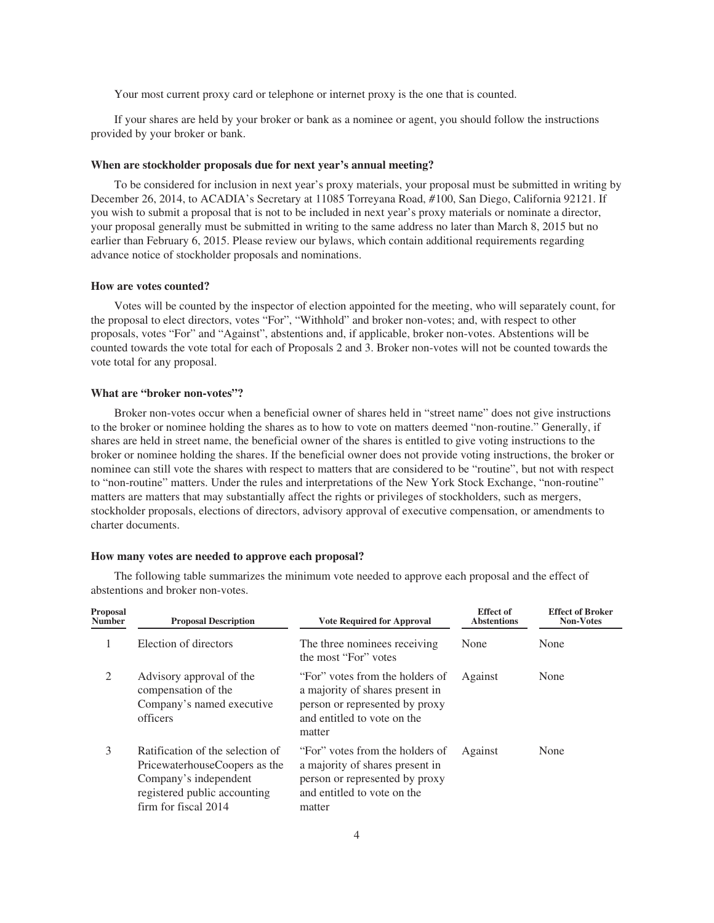Your most current proxy card or telephone or internet proxy is the one that is counted.

If your shares are held by your broker or bank as a nominee or agent, you should follow the instructions provided by your broker or bank.

#### **When are stockholder proposals due for next year's annual meeting?**

To be considered for inclusion in next year's proxy materials, your proposal must be submitted in writing by December 26, 2014, to ACADIA's Secretary at 11085 Torreyana Road, #100, San Diego, California 92121. If you wish to submit a proposal that is not to be included in next year's proxy materials or nominate a director, your proposal generally must be submitted in writing to the same address no later than March 8, 2015 but no earlier than February 6, 2015. Please review our bylaws, which contain additional requirements regarding advance notice of stockholder proposals and nominations.

#### **How are votes counted?**

Votes will be counted by the inspector of election appointed for the meeting, who will separately count, for the proposal to elect directors, votes "For", "Withhold" and broker non-votes; and, with respect to other proposals, votes "For" and "Against", abstentions and, if applicable, broker non-votes. Abstentions will be counted towards the vote total for each of Proposals 2 and 3. Broker non-votes will not be counted towards the vote total for any proposal.

#### **What are "broker non-votes"?**

Broker non-votes occur when a beneficial owner of shares held in "street name" does not give instructions to the broker or nominee holding the shares as to how to vote on matters deemed "non-routine." Generally, if shares are held in street name, the beneficial owner of the shares is entitled to give voting instructions to the broker or nominee holding the shares. If the beneficial owner does not provide voting instructions, the broker or nominee can still vote the shares with respect to matters that are considered to be "routine", but not with respect to "non-routine" matters. Under the rules and interpretations of the New York Stock Exchange, "non-routine" matters are matters that may substantially affect the rights or privileges of stockholders, such as mergers, stockholder proposals, elections of directors, advisory approval of executive compensation, or amendments to charter documents.

### **How many votes are needed to approve each proposal?**

The following table summarizes the minimum vote needed to approve each proposal and the effect of abstentions and broker non-votes.

| Proposal<br><b>Number</b> | <b>Proposal Description</b>                                                                                                                        | <b>Vote Required for Approval</b>                                                                                                             | <b>Effect of</b><br><b>Abstentions</b> | <b>Effect of Broker</b><br><b>Non-Votes</b> |
|---------------------------|----------------------------------------------------------------------------------------------------------------------------------------------------|-----------------------------------------------------------------------------------------------------------------------------------------------|----------------------------------------|---------------------------------------------|
| 1                         | Election of directors                                                                                                                              | The three nominees receiving<br>the most "For" votes                                                                                          | None                                   | None                                        |
| 2                         | Advisory approval of the<br>compensation of the<br>Company's named executive<br>officers                                                           | "For" votes from the holders of<br>a majority of shares present in<br>person or represented by proxy<br>and entitled to vote on the<br>matter | Against                                | None                                        |
| 3                         | Ratification of the selection of<br>PricewaterhouseCoopers as the<br>Company's independent<br>registered public accounting<br>firm for fiscal 2014 | "For" votes from the holders of<br>a majority of shares present in<br>person or represented by proxy<br>and entitled to vote on the<br>matter | Against                                | None                                        |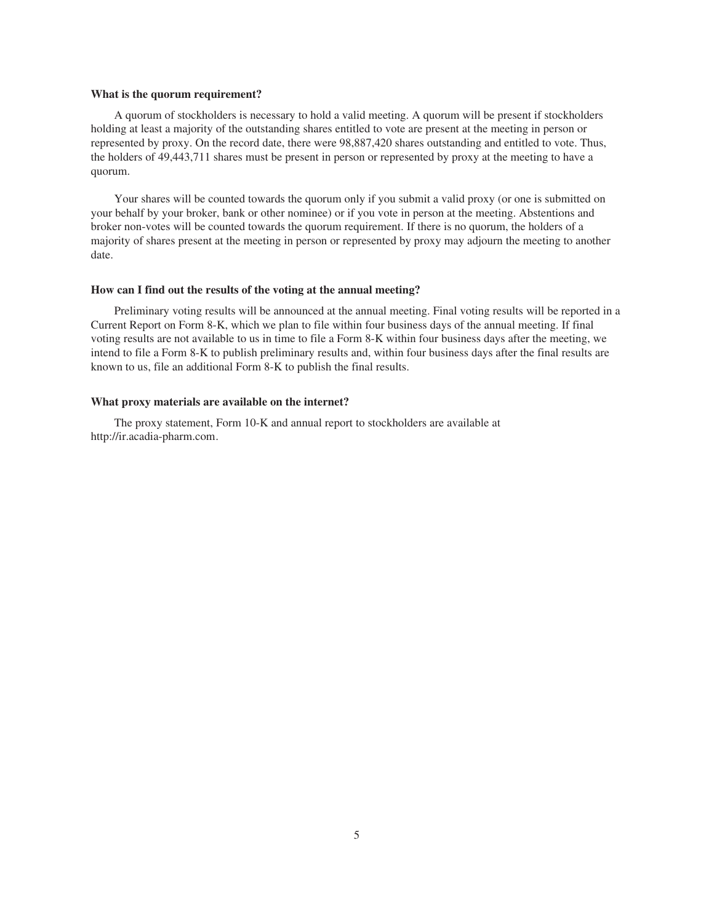### **What is the quorum requirement?**

A quorum of stockholders is necessary to hold a valid meeting. A quorum will be present if stockholders holding at least a majority of the outstanding shares entitled to vote are present at the meeting in person or represented by proxy. On the record date, there were 98,887,420 shares outstanding and entitled to vote. Thus, the holders of 49,443,711 shares must be present in person or represented by proxy at the meeting to have a quorum.

Your shares will be counted towards the quorum only if you submit a valid proxy (or one is submitted on your behalf by your broker, bank or other nominee) or if you vote in person at the meeting. Abstentions and broker non-votes will be counted towards the quorum requirement. If there is no quorum, the holders of a majority of shares present at the meeting in person or represented by proxy may adjourn the meeting to another date.

#### **How can I find out the results of the voting at the annual meeting?**

Preliminary voting results will be announced at the annual meeting. Final voting results will be reported in a Current Report on Form 8-K, which we plan to file within four business days of the annual meeting. If final voting results are not available to us in time to file a Form 8-K within four business days after the meeting, we intend to file a Form 8-K to publish preliminary results and, within four business days after the final results are known to us, file an additional Form 8-K to publish the final results.

### **What proxy materials are available on the internet?**

The proxy statement, Form 10-K and annual report to stockholders are available at http://ir.acadia-pharm.com.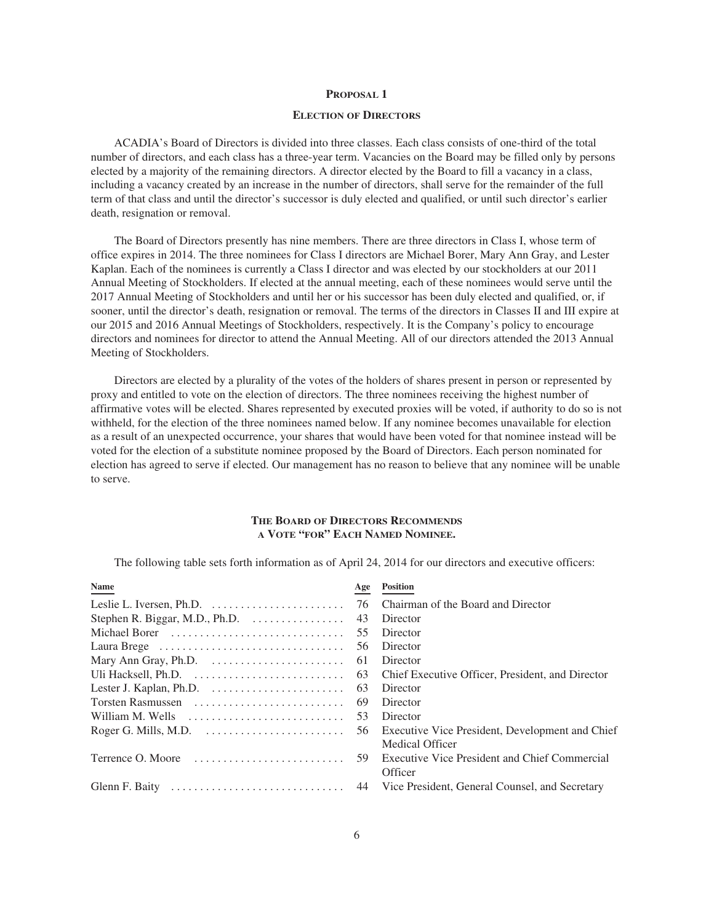#### **PROPOSAL 1**

## **ELECTION OF DIRECTORS**

ACADIA's Board of Directors is divided into three classes. Each class consists of one-third of the total number of directors, and each class has a three-year term. Vacancies on the Board may be filled only by persons elected by a majority of the remaining directors. A director elected by the Board to fill a vacancy in a class, including a vacancy created by an increase in the number of directors, shall serve for the remainder of the full term of that class and until the director's successor is duly elected and qualified, or until such director's earlier death, resignation or removal.

The Board of Directors presently has nine members. There are three directors in Class I, whose term of office expires in 2014. The three nominees for Class I directors are Michael Borer, Mary Ann Gray, and Lester Kaplan. Each of the nominees is currently a Class I director and was elected by our stockholders at our 2011 Annual Meeting of Stockholders. If elected at the annual meeting, each of these nominees would serve until the 2017 Annual Meeting of Stockholders and until her or his successor has been duly elected and qualified, or, if sooner, until the director's death, resignation or removal. The terms of the directors in Classes II and III expire at our 2015 and 2016 Annual Meetings of Stockholders, respectively. It is the Company's policy to encourage directors and nominees for director to attend the Annual Meeting. All of our directors attended the 2013 Annual Meeting of Stockholders.

Directors are elected by a plurality of the votes of the holders of shares present in person or represented by proxy and entitled to vote on the election of directors. The three nominees receiving the highest number of affirmative votes will be elected. Shares represented by executed proxies will be voted, if authority to do so is not withheld, for the election of the three nominees named below. If any nominee becomes unavailable for election as a result of an unexpected occurrence, your shares that would have been voted for that nominee instead will be voted for the election of a substitute nominee proposed by the Board of Directors. Each person nominated for election has agreed to serve if elected. Our management has no reason to believe that any nominee will be unable to serve.

## **THE BOARD OF DIRECTORS RECOMMENDS A VOTE "FOR" EACH NAMED NOMINEE.**

The following table sets forth information as of April 24, 2014 for our directors and executive officers:

| <b>Name</b>                                                                      | Age  | <b>Position</b>                                  |
|----------------------------------------------------------------------------------|------|--------------------------------------------------|
| Leslie L. Iversen, Ph.D. $\dots \dots \dots \dots \dots \dots \dots$             | 76   | Chairman of the Board and Director               |
| Stephen R. Biggar, M.D., Ph.D. $\dots \dots \dots \dots \dots$ 43                |      | Director                                         |
| Michael Borer                                                                    | 55   | Director                                         |
|                                                                                  | 56   | Director                                         |
| Mary Ann Gray, Ph.D. $\dots\dots\dots\dots\dots\dots\dots\dots$                  | - 61 | Director                                         |
| Uli Hacksell, Ph.D. $\ldots \ldots \ldots \ldots \ldots \ldots \ldots \ldots$ 63 |      | Chief Executive Officer, President, and Director |
| Lester J. Kaplan, Ph.D. $\dots \dots \dots \dots \dots \dots \dots$              | -63  | Director                                         |
| Torsten Rasmussen                                                                | 69   | Director                                         |
| William M. Wells                                                                 | 53   | Director                                         |
| Roger G. Mills, M.D. $\dots \dots \dots \dots \dots \dots \dots$                 | 56   | Executive Vice President, Development and Chief  |
|                                                                                  |      | Medical Officer                                  |
| Terrence O. Moore                                                                | 59   | Executive Vice President and Chief Commercial    |
|                                                                                  |      | Officer                                          |
|                                                                                  |      |                                                  |
|                                                                                  |      |                                                  |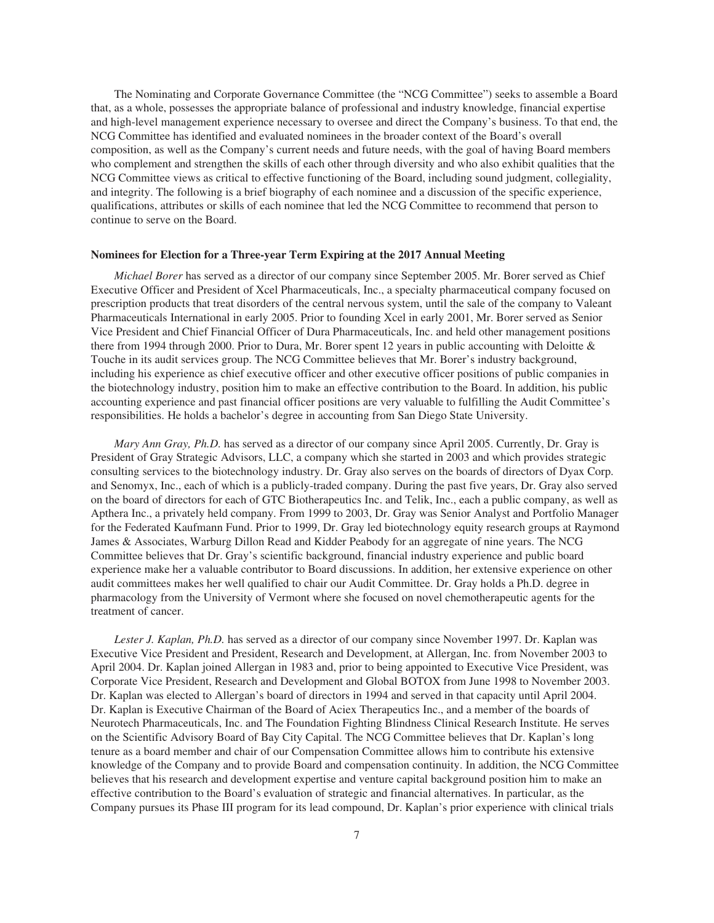The Nominating and Corporate Governance Committee (the "NCG Committee") seeks to assemble a Board that, as a whole, possesses the appropriate balance of professional and industry knowledge, financial expertise and high-level management experience necessary to oversee and direct the Company's business. To that end, the NCG Committee has identified and evaluated nominees in the broader context of the Board's overall composition, as well as the Company's current needs and future needs, with the goal of having Board members who complement and strengthen the skills of each other through diversity and who also exhibit qualities that the NCG Committee views as critical to effective functioning of the Board, including sound judgment, collegiality, and integrity. The following is a brief biography of each nominee and a discussion of the specific experience, qualifications, attributes or skills of each nominee that led the NCG Committee to recommend that person to continue to serve on the Board.

#### **Nominees for Election for a Three-year Term Expiring at the 2017 Annual Meeting**

*Michael Borer* has served as a director of our company since September 2005. Mr. Borer served as Chief Executive Officer and President of Xcel Pharmaceuticals, Inc., a specialty pharmaceutical company focused on prescription products that treat disorders of the central nervous system, until the sale of the company to Valeant Pharmaceuticals International in early 2005. Prior to founding Xcel in early 2001, Mr. Borer served as Senior Vice President and Chief Financial Officer of Dura Pharmaceuticals, Inc. and held other management positions there from 1994 through 2000. Prior to Dura, Mr. Borer spent 12 years in public accounting with Deloitte & Touche in its audit services group. The NCG Committee believes that Mr. Borer's industry background, including his experience as chief executive officer and other executive officer positions of public companies in the biotechnology industry, position him to make an effective contribution to the Board. In addition, his public accounting experience and past financial officer positions are very valuable to fulfilling the Audit Committee's responsibilities. He holds a bachelor's degree in accounting from San Diego State University.

*Mary Ann Gray, Ph.D.* has served as a director of our company since April 2005. Currently, Dr. Gray is President of Gray Strategic Advisors, LLC, a company which she started in 2003 and which provides strategic consulting services to the biotechnology industry. Dr. Gray also serves on the boards of directors of Dyax Corp. and Senomyx, Inc., each of which is a publicly-traded company. During the past five years, Dr. Gray also served on the board of directors for each of GTC Biotherapeutics Inc. and Telik, Inc., each a public company, as well as Apthera Inc., a privately held company. From 1999 to 2003, Dr. Gray was Senior Analyst and Portfolio Manager for the Federated Kaufmann Fund. Prior to 1999, Dr. Gray led biotechnology equity research groups at Raymond James & Associates, Warburg Dillon Read and Kidder Peabody for an aggregate of nine years. The NCG Committee believes that Dr. Gray's scientific background, financial industry experience and public board experience make her a valuable contributor to Board discussions. In addition, her extensive experience on other audit committees makes her well qualified to chair our Audit Committee. Dr. Gray holds a Ph.D. degree in pharmacology from the University of Vermont where she focused on novel chemotherapeutic agents for the treatment of cancer.

*Lester J. Kaplan, Ph.D.* has served as a director of our company since November 1997. Dr. Kaplan was Executive Vice President and President, Research and Development, at Allergan, Inc. from November 2003 to April 2004. Dr. Kaplan joined Allergan in 1983 and, prior to being appointed to Executive Vice President, was Corporate Vice President, Research and Development and Global BOTOX from June 1998 to November 2003. Dr. Kaplan was elected to Allergan's board of directors in 1994 and served in that capacity until April 2004. Dr. Kaplan is Executive Chairman of the Board of Aciex Therapeutics Inc., and a member of the boards of Neurotech Pharmaceuticals, Inc. and The Foundation Fighting Blindness Clinical Research Institute. He serves on the Scientific Advisory Board of Bay City Capital. The NCG Committee believes that Dr. Kaplan's long tenure as a board member and chair of our Compensation Committee allows him to contribute his extensive knowledge of the Company and to provide Board and compensation continuity. In addition, the NCG Committee believes that his research and development expertise and venture capital background position him to make an effective contribution to the Board's evaluation of strategic and financial alternatives. In particular, as the Company pursues its Phase III program for its lead compound, Dr. Kaplan's prior experience with clinical trials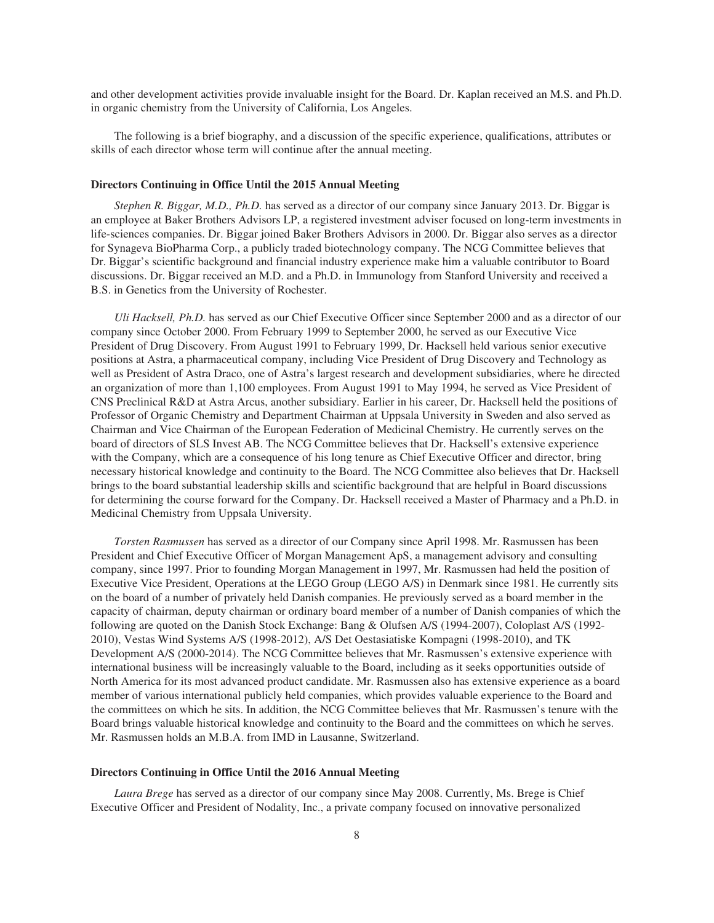and other development activities provide invaluable insight for the Board. Dr. Kaplan received an M.S. and Ph.D. in organic chemistry from the University of California, Los Angeles.

The following is a brief biography, and a discussion of the specific experience, qualifications, attributes or skills of each director whose term will continue after the annual meeting.

## **Directors Continuing in Office Until the 2015 Annual Meeting**

*Stephen R. Biggar, M.D., Ph.D.* has served as a director of our company since January 2013. Dr. Biggar is an employee at Baker Brothers Advisors LP, a registered investment adviser focused on long-term investments in life-sciences companies. Dr. Biggar joined Baker Brothers Advisors in 2000. Dr. Biggar also serves as a director for Synageva BioPharma Corp., a publicly traded biotechnology company. The NCG Committee believes that Dr. Biggar's scientific background and financial industry experience make him a valuable contributor to Board discussions. Dr. Biggar received an M.D. and a Ph.D. in Immunology from Stanford University and received a B.S. in Genetics from the University of Rochester.

*Uli Hacksell, Ph.D.* has served as our Chief Executive Officer since September 2000 and as a director of our company since October 2000. From February 1999 to September 2000, he served as our Executive Vice President of Drug Discovery. From August 1991 to February 1999, Dr. Hacksell held various senior executive positions at Astra, a pharmaceutical company, including Vice President of Drug Discovery and Technology as well as President of Astra Draco, one of Astra's largest research and development subsidiaries, where he directed an organization of more than 1,100 employees. From August 1991 to May 1994, he served as Vice President of CNS Preclinical R&D at Astra Arcus, another subsidiary. Earlier in his career, Dr. Hacksell held the positions of Professor of Organic Chemistry and Department Chairman at Uppsala University in Sweden and also served as Chairman and Vice Chairman of the European Federation of Medicinal Chemistry. He currently serves on the board of directors of SLS Invest AB. The NCG Committee believes that Dr. Hacksell's extensive experience with the Company, which are a consequence of his long tenure as Chief Executive Officer and director, bring necessary historical knowledge and continuity to the Board. The NCG Committee also believes that Dr. Hacksell brings to the board substantial leadership skills and scientific background that are helpful in Board discussions for determining the course forward for the Company. Dr. Hacksell received a Master of Pharmacy and a Ph.D. in Medicinal Chemistry from Uppsala University.

*Torsten Rasmussen* has served as a director of our Company since April 1998. Mr. Rasmussen has been President and Chief Executive Officer of Morgan Management ApS, a management advisory and consulting company, since 1997. Prior to founding Morgan Management in 1997, Mr. Rasmussen had held the position of Executive Vice President, Operations at the LEGO Group (LEGO A/S) in Denmark since 1981. He currently sits on the board of a number of privately held Danish companies. He previously served as a board member in the capacity of chairman, deputy chairman or ordinary board member of a number of Danish companies of which the following are quoted on the Danish Stock Exchange: Bang & Olufsen A/S (1994-2007), Coloplast A/S (1992- 2010), Vestas Wind Systems A/S (1998-2012), A/S Det Oestasiatiske Kompagni (1998-2010), and TK Development A/S (2000-2014). The NCG Committee believes that Mr. Rasmussen's extensive experience with international business will be increasingly valuable to the Board, including as it seeks opportunities outside of North America for its most advanced product candidate. Mr. Rasmussen also has extensive experience as a board member of various international publicly held companies, which provides valuable experience to the Board and the committees on which he sits. In addition, the NCG Committee believes that Mr. Rasmussen's tenure with the Board brings valuable historical knowledge and continuity to the Board and the committees on which he serves. Mr. Rasmussen holds an M.B.A. from IMD in Lausanne, Switzerland.

### **Directors Continuing in Office Until the 2016 Annual Meeting**

*Laura Brege* has served as a director of our company since May 2008. Currently, Ms. Brege is Chief Executive Officer and President of Nodality, Inc., a private company focused on innovative personalized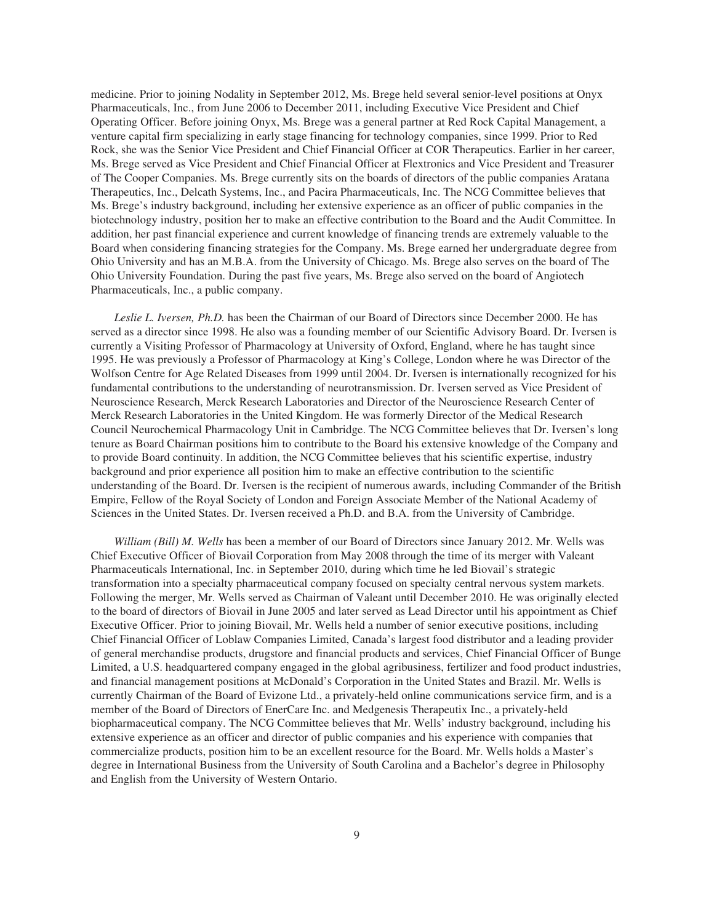medicine. Prior to joining Nodality in September 2012, Ms. Brege held several senior-level positions at Onyx Pharmaceuticals, Inc., from June 2006 to December 2011, including Executive Vice President and Chief Operating Officer. Before joining Onyx, Ms. Brege was a general partner at Red Rock Capital Management, a venture capital firm specializing in early stage financing for technology companies, since 1999. Prior to Red Rock, she was the Senior Vice President and Chief Financial Officer at COR Therapeutics. Earlier in her career, Ms. Brege served as Vice President and Chief Financial Officer at Flextronics and Vice President and Treasurer of The Cooper Companies. Ms. Brege currently sits on the boards of directors of the public companies Aratana Therapeutics, Inc., Delcath Systems, Inc., and Pacira Pharmaceuticals, Inc. The NCG Committee believes that Ms. Brege's industry background, including her extensive experience as an officer of public companies in the biotechnology industry, position her to make an effective contribution to the Board and the Audit Committee. In addition, her past financial experience and current knowledge of financing trends are extremely valuable to the Board when considering financing strategies for the Company. Ms. Brege earned her undergraduate degree from Ohio University and has an M.B.A. from the University of Chicago. Ms. Brege also serves on the board of The Ohio University Foundation. During the past five years, Ms. Brege also served on the board of Angiotech Pharmaceuticals, Inc., a public company.

*Leslie L. Iversen, Ph.D.* has been the Chairman of our Board of Directors since December 2000. He has served as a director since 1998. He also was a founding member of our Scientific Advisory Board. Dr. Iversen is currently a Visiting Professor of Pharmacology at University of Oxford, England, where he has taught since 1995. He was previously a Professor of Pharmacology at King's College, London where he was Director of the Wolfson Centre for Age Related Diseases from 1999 until 2004. Dr. Iversen is internationally recognized for his fundamental contributions to the understanding of neurotransmission. Dr. Iversen served as Vice President of Neuroscience Research, Merck Research Laboratories and Director of the Neuroscience Research Center of Merck Research Laboratories in the United Kingdom. He was formerly Director of the Medical Research Council Neurochemical Pharmacology Unit in Cambridge. The NCG Committee believes that Dr. Iversen's long tenure as Board Chairman positions him to contribute to the Board his extensive knowledge of the Company and to provide Board continuity. In addition, the NCG Committee believes that his scientific expertise, industry background and prior experience all position him to make an effective contribution to the scientific understanding of the Board. Dr. Iversen is the recipient of numerous awards, including Commander of the British Empire, Fellow of the Royal Society of London and Foreign Associate Member of the National Academy of Sciences in the United States. Dr. Iversen received a Ph.D. and B.A. from the University of Cambridge.

*William (Bill) M. Wells* has been a member of our Board of Directors since January 2012. Mr. Wells was Chief Executive Officer of Biovail Corporation from May 2008 through the time of its merger with Valeant Pharmaceuticals International, Inc. in September 2010, during which time he led Biovail's strategic transformation into a specialty pharmaceutical company focused on specialty central nervous system markets. Following the merger, Mr. Wells served as Chairman of Valeant until December 2010. He was originally elected to the board of directors of Biovail in June 2005 and later served as Lead Director until his appointment as Chief Executive Officer. Prior to joining Biovail, Mr. Wells held a number of senior executive positions, including Chief Financial Officer of Loblaw Companies Limited, Canada's largest food distributor and a leading provider of general merchandise products, drugstore and financial products and services, Chief Financial Officer of Bunge Limited, a U.S. headquartered company engaged in the global agribusiness, fertilizer and food product industries, and financial management positions at McDonald's Corporation in the United States and Brazil. Mr. Wells is currently Chairman of the Board of Evizone Ltd., a privately-held online communications service firm, and is a member of the Board of Directors of EnerCare Inc. and Medgenesis Therapeutix Inc., a privately-held biopharmaceutical company. The NCG Committee believes that Mr. Wells' industry background, including his extensive experience as an officer and director of public companies and his experience with companies that commercialize products, position him to be an excellent resource for the Board. Mr. Wells holds a Master's degree in International Business from the University of South Carolina and a Bachelor's degree in Philosophy and English from the University of Western Ontario.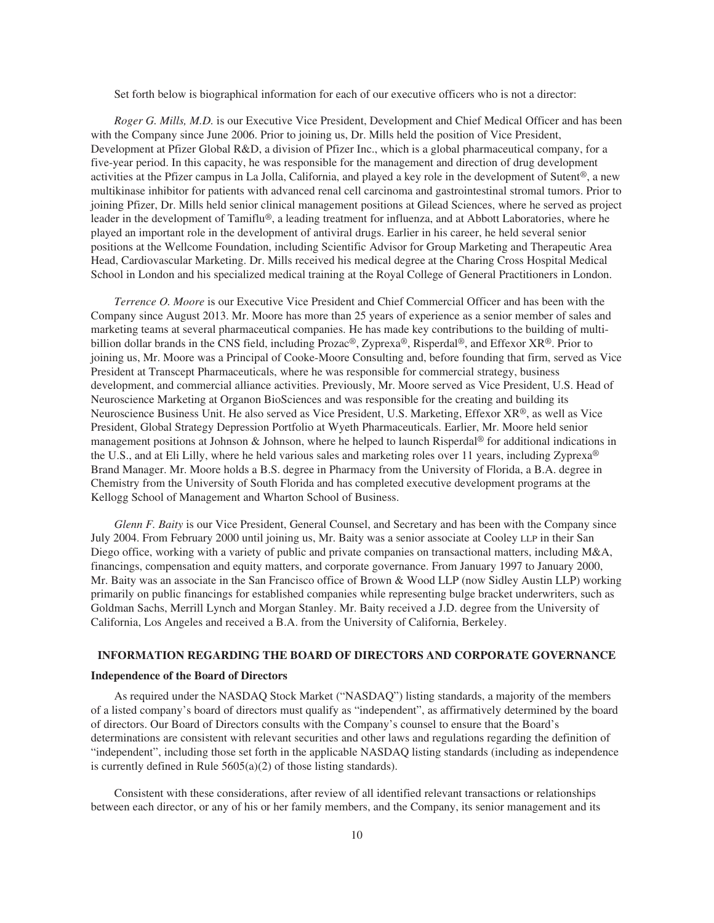Set forth below is biographical information for each of our executive officers who is not a director:

*Roger G. Mills, M.D.* is our Executive Vice President, Development and Chief Medical Officer and has been with the Company since June 2006. Prior to joining us, Dr. Mills held the position of Vice President, Development at Pfizer Global R&D, a division of Pfizer Inc., which is a global pharmaceutical company, for a five-year period. In this capacity, he was responsible for the management and direction of drug development activities at the Pfizer campus in La Jolla, California, and played a key role in the development of Sutent®, a new multikinase inhibitor for patients with advanced renal cell carcinoma and gastrointestinal stromal tumors. Prior to joining Pfizer, Dr. Mills held senior clinical management positions at Gilead Sciences, where he served as project leader in the development of Tamiflu®, a leading treatment for influenza, and at Abbott Laboratories, where he played an important role in the development of antiviral drugs. Earlier in his career, he held several senior positions at the Wellcome Foundation, including Scientific Advisor for Group Marketing and Therapeutic Area Head, Cardiovascular Marketing. Dr. Mills received his medical degree at the Charing Cross Hospital Medical School in London and his specialized medical training at the Royal College of General Practitioners in London.

*Terrence O. Moore* is our Executive Vice President and Chief Commercial Officer and has been with the Company since August 2013. Mr. Moore has more than 25 years of experience as a senior member of sales and marketing teams at several pharmaceutical companies. He has made key contributions to the building of multibillion dollar brands in the CNS field, including Prozac®, Zyprexa®, Risperdal®, and Effexor XR®. Prior to joining us, Mr. Moore was a Principal of Cooke-Moore Consulting and, before founding that firm, served as Vice President at Transcept Pharmaceuticals, where he was responsible for commercial strategy, business development, and commercial alliance activities. Previously, Mr. Moore served as Vice President, U.S. Head of Neuroscience Marketing at Organon BioSciences and was responsible for the creating and building its Neuroscience Business Unit. He also served as Vice President, U.S. Marketing, Effexor XR®, as well as Vice President, Global Strategy Depression Portfolio at Wyeth Pharmaceuticals. Earlier, Mr. Moore held senior management positions at Johnson & Johnson, where he helped to launch Risperdal® for additional indications in the U.S., and at Eli Lilly, where he held various sales and marketing roles over 11 years, including Zyprexa® Brand Manager. Mr. Moore holds a B.S. degree in Pharmacy from the University of Florida, a B.A. degree in Chemistry from the University of South Florida and has completed executive development programs at the Kellogg School of Management and Wharton School of Business.

*Glenn F. Baity* is our Vice President, General Counsel, and Secretary and has been with the Company since July 2004. From February 2000 until joining us, Mr. Baity was a senior associate at Cooley LLP in their San Diego office, working with a variety of public and private companies on transactional matters, including M&A, financings, compensation and equity matters, and corporate governance. From January 1997 to January 2000, Mr. Baity was an associate in the San Francisco office of Brown & Wood LLP (now Sidley Austin LLP) working primarily on public financings for established companies while representing bulge bracket underwriters, such as Goldman Sachs, Merrill Lynch and Morgan Stanley. Mr. Baity received a J.D. degree from the University of California, Los Angeles and received a B.A. from the University of California, Berkeley.

#### **INFORMATION REGARDING THE BOARD OF DIRECTORS AND CORPORATE GOVERNANCE**

#### **Independence of the Board of Directors**

As required under the NASDAQ Stock Market ("NASDAQ") listing standards, a majority of the members of a listed company's board of directors must qualify as "independent", as affirmatively determined by the board of directors. Our Board of Directors consults with the Company's counsel to ensure that the Board's determinations are consistent with relevant securities and other laws and regulations regarding the definition of "independent", including those set forth in the applicable NASDAQ listing standards (including as independence is currently defined in Rule 5605(a)(2) of those listing standards).

Consistent with these considerations, after review of all identified relevant transactions or relationships between each director, or any of his or her family members, and the Company, its senior management and its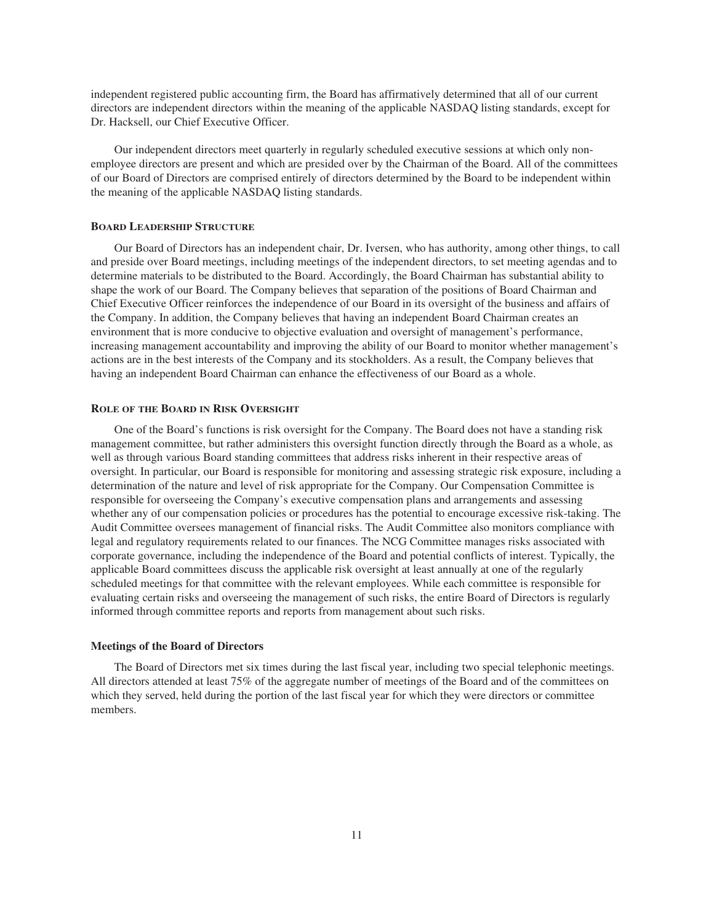independent registered public accounting firm, the Board has affirmatively determined that all of our current directors are independent directors within the meaning of the applicable NASDAQ listing standards, except for Dr. Hacksell, our Chief Executive Officer.

Our independent directors meet quarterly in regularly scheduled executive sessions at which only nonemployee directors are present and which are presided over by the Chairman of the Board. All of the committees of our Board of Directors are comprised entirely of directors determined by the Board to be independent within the meaning of the applicable NASDAQ listing standards.

#### **BOARD LEADERSHIP STRUCTURE**

Our Board of Directors has an independent chair, Dr. Iversen, who has authority, among other things, to call and preside over Board meetings, including meetings of the independent directors, to set meeting agendas and to determine materials to be distributed to the Board. Accordingly, the Board Chairman has substantial ability to shape the work of our Board. The Company believes that separation of the positions of Board Chairman and Chief Executive Officer reinforces the independence of our Board in its oversight of the business and affairs of the Company. In addition, the Company believes that having an independent Board Chairman creates an environment that is more conducive to objective evaluation and oversight of management's performance, increasing management accountability and improving the ability of our Board to monitor whether management's actions are in the best interests of the Company and its stockholders. As a result, the Company believes that having an independent Board Chairman can enhance the effectiveness of our Board as a whole.

#### **ROLE OF THE BOARD IN RISK OVERSIGHT**

One of the Board's functions is risk oversight for the Company. The Board does not have a standing risk management committee, but rather administers this oversight function directly through the Board as a whole, as well as through various Board standing committees that address risks inherent in their respective areas of oversight. In particular, our Board is responsible for monitoring and assessing strategic risk exposure, including a determination of the nature and level of risk appropriate for the Company. Our Compensation Committee is responsible for overseeing the Company's executive compensation plans and arrangements and assessing whether any of our compensation policies or procedures has the potential to encourage excessive risk-taking. The Audit Committee oversees management of financial risks. The Audit Committee also monitors compliance with legal and regulatory requirements related to our finances. The NCG Committee manages risks associated with corporate governance, including the independence of the Board and potential conflicts of interest. Typically, the applicable Board committees discuss the applicable risk oversight at least annually at one of the regularly scheduled meetings for that committee with the relevant employees. While each committee is responsible for evaluating certain risks and overseeing the management of such risks, the entire Board of Directors is regularly informed through committee reports and reports from management about such risks.

## **Meetings of the Board of Directors**

The Board of Directors met six times during the last fiscal year, including two special telephonic meetings. All directors attended at least 75% of the aggregate number of meetings of the Board and of the committees on which they served, held during the portion of the last fiscal year for which they were directors or committee members.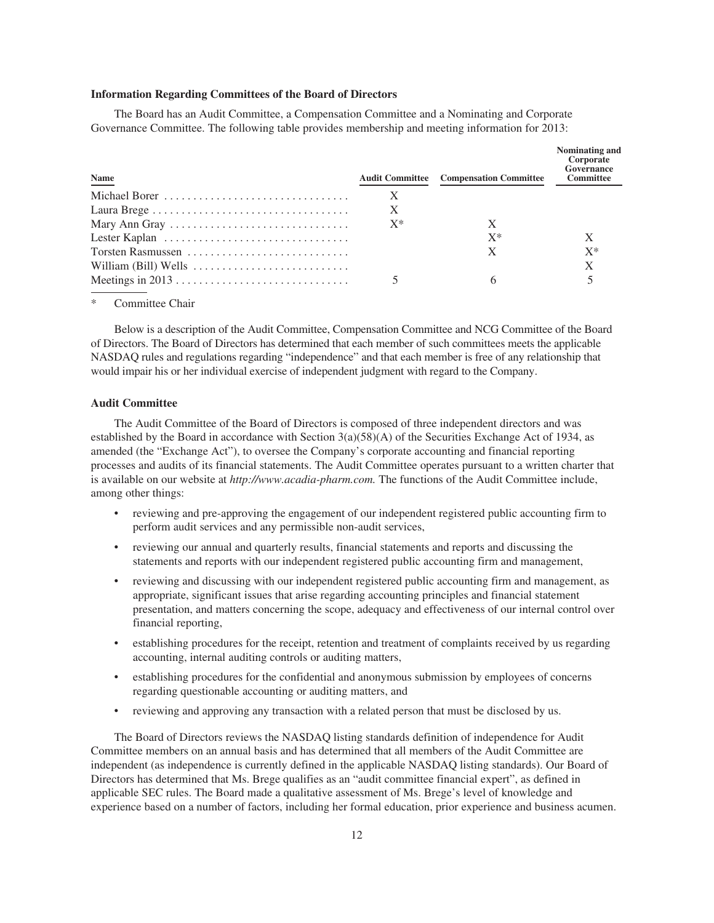### **Information Regarding Committees of the Board of Directors**

The Board has an Audit Committee, a Compensation Committee and a Nominating and Corporate Governance Committee. The following table provides membership and meeting information for 2013:

| <b>Name</b>          | <b>Audit Committee</b> | <b>Compensation Committee</b> | Nominating and<br>Corporate<br>Governance<br>Committee |
|----------------------|------------------------|-------------------------------|--------------------------------------------------------|
| Michael Borer        | X                      |                               |                                                        |
|                      |                        |                               |                                                        |
| Mary Ann Gray        | $X^*$                  | Х                             |                                                        |
|                      |                        | $X^*$                         | Х                                                      |
|                      |                        | X                             | $X^*$                                                  |
| William (Bill) Wells |                        |                               | X                                                      |
|                      |                        | h                             |                                                        |
|                      |                        |                               |                                                        |

Committee Chair

Below is a description of the Audit Committee, Compensation Committee and NCG Committee of the Board of Directors. The Board of Directors has determined that each member of such committees meets the applicable NASDAQ rules and regulations regarding "independence" and that each member is free of any relationship that would impair his or her individual exercise of independent judgment with regard to the Company.

## **Audit Committee**

The Audit Committee of the Board of Directors is composed of three independent directors and was established by the Board in accordance with Section 3(a)(58)(A) of the Securities Exchange Act of 1934, as amended (the "Exchange Act"), to oversee the Company's corporate accounting and financial reporting processes and audits of its financial statements. The Audit Committee operates pursuant to a written charter that is available on our website at *http://www.acadia-pharm.com.* The functions of the Audit Committee include, among other things:

- reviewing and pre-approving the engagement of our independent registered public accounting firm to perform audit services and any permissible non-audit services,
- reviewing our annual and quarterly results, financial statements and reports and discussing the statements and reports with our independent registered public accounting firm and management,
- reviewing and discussing with our independent registered public accounting firm and management, as appropriate, significant issues that arise regarding accounting principles and financial statement presentation, and matters concerning the scope, adequacy and effectiveness of our internal control over financial reporting,
- establishing procedures for the receipt, retention and treatment of complaints received by us regarding accounting, internal auditing controls or auditing matters,
- establishing procedures for the confidential and anonymous submission by employees of concerns regarding questionable accounting or auditing matters, and
- reviewing and approving any transaction with a related person that must be disclosed by us.

The Board of Directors reviews the NASDAQ listing standards definition of independence for Audit Committee members on an annual basis and has determined that all members of the Audit Committee are independent (as independence is currently defined in the applicable NASDAQ listing standards). Our Board of Directors has determined that Ms. Brege qualifies as an "audit committee financial expert", as defined in applicable SEC rules. The Board made a qualitative assessment of Ms. Brege's level of knowledge and experience based on a number of factors, including her formal education, prior experience and business acumen.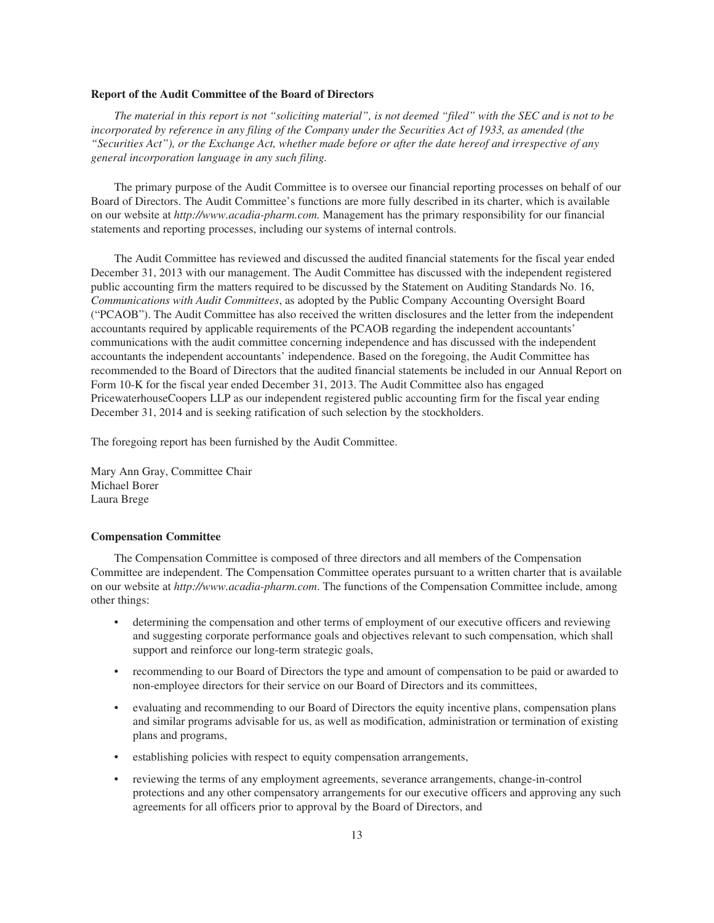### **Report of the Audit Committee of the Board of Directors**

*The material in this report is not "soliciting material", is not deemed "filed" with the SEC and is not to be incorporated by reference in any filing of the Company under the Securities Act of 1933, as amended (the "Securities Act"), or the Exchange Act, whether made before or after the date hereof and irrespective of any general incorporation language in any such filing.*

The primary purpose of the Audit Committee is to oversee our financial reporting processes on behalf of our Board of Directors. The Audit Committee's functions are more fully described in its charter, which is available on our website at *http://www.acadia-pharm.com.* Management has the primary responsibility for our financial statements and reporting processes, including our systems of internal controls.

The Audit Committee has reviewed and discussed the audited financial statements for the fiscal year ended December 31, 2013 with our management. The Audit Committee has discussed with the independent registered public accounting firm the matters required to be discussed by the Statement on Auditing Standards No. 16, *Communications with Audit Committees*, as adopted by the Public Company Accounting Oversight Board ("PCAOB"). The Audit Committee has also received the written disclosures and the letter from the independent accountants required by applicable requirements of the PCAOB regarding the independent accountants' communications with the audit committee concerning independence and has discussed with the independent accountants the independent accountants' independence. Based on the foregoing, the Audit Committee has recommended to the Board of Directors that the audited financial statements be included in our Annual Report on Form 10-K for the fiscal year ended December 31, 2013. The Audit Committee also has engaged PricewaterhouseCoopers LLP as our independent registered public accounting firm for the fiscal year ending December 31, 2014 and is seeking ratification of such selection by the stockholders.

The foregoing report has been furnished by the Audit Committee.

Mary Ann Gray, Committee Chair Michael Borer Laura Brege

#### **Compensation Committee**

The Compensation Committee is composed of three directors and all members of the Compensation Committee are independent. The Compensation Committee operates pursuant to a written charter that is available on our website at *http://www.acadia-pharm.com*. The functions of the Compensation Committee include, among other things:

- determining the compensation and other terms of employment of our executive officers and reviewing and suggesting corporate performance goals and objectives relevant to such compensation, which shall support and reinforce our long-term strategic goals,
- recommending to our Board of Directors the type and amount of compensation to be paid or awarded to non-employee directors for their service on our Board of Directors and its committees,
- evaluating and recommending to our Board of Directors the equity incentive plans, compensation plans and similar programs advisable for us, as well as modification, administration or termination of existing plans and programs,
- establishing policies with respect to equity compensation arrangements,
- reviewing the terms of any employment agreements, severance arrangements, change-in-control protections and any other compensatory arrangements for our executive officers and approving any such agreements for all officers prior to approval by the Board of Directors, and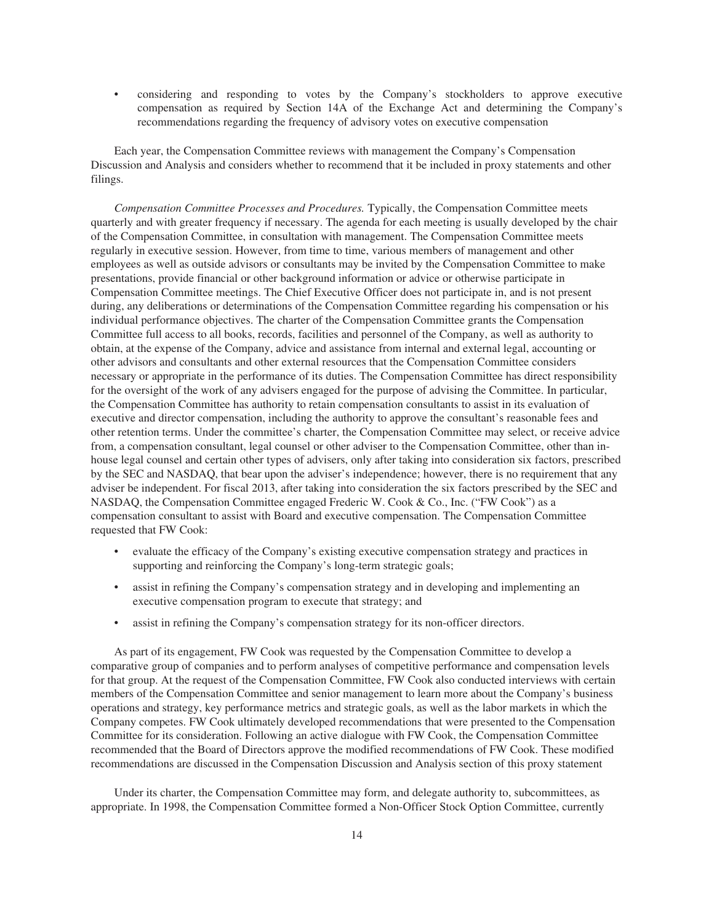• considering and responding to votes by the Company's stockholders to approve executive compensation as required by Section 14A of the Exchange Act and determining the Company's recommendations regarding the frequency of advisory votes on executive compensation

Each year, the Compensation Committee reviews with management the Company's Compensation Discussion and Analysis and considers whether to recommend that it be included in proxy statements and other filings.

*Compensation Committee Processes and Procedures.* Typically, the Compensation Committee meets quarterly and with greater frequency if necessary. The agenda for each meeting is usually developed by the chair of the Compensation Committee, in consultation with management. The Compensation Committee meets regularly in executive session. However, from time to time, various members of management and other employees as well as outside advisors or consultants may be invited by the Compensation Committee to make presentations, provide financial or other background information or advice or otherwise participate in Compensation Committee meetings. The Chief Executive Officer does not participate in, and is not present during, any deliberations or determinations of the Compensation Committee regarding his compensation or his individual performance objectives. The charter of the Compensation Committee grants the Compensation Committee full access to all books, records, facilities and personnel of the Company, as well as authority to obtain, at the expense of the Company, advice and assistance from internal and external legal, accounting or other advisors and consultants and other external resources that the Compensation Committee considers necessary or appropriate in the performance of its duties. The Compensation Committee has direct responsibility for the oversight of the work of any advisers engaged for the purpose of advising the Committee. In particular, the Compensation Committee has authority to retain compensation consultants to assist in its evaluation of executive and director compensation, including the authority to approve the consultant's reasonable fees and other retention terms. Under the committee's charter, the Compensation Committee may select, or receive advice from, a compensation consultant, legal counsel or other adviser to the Compensation Committee, other than inhouse legal counsel and certain other types of advisers, only after taking into consideration six factors, prescribed by the SEC and NASDAQ, that bear upon the adviser's independence; however, there is no requirement that any adviser be independent. For fiscal 2013, after taking into consideration the six factors prescribed by the SEC and NASDAQ, the Compensation Committee engaged Frederic W. Cook & Co., Inc. ("FW Cook") as a compensation consultant to assist with Board and executive compensation. The Compensation Committee requested that FW Cook:

- evaluate the efficacy of the Company's existing executive compensation strategy and practices in supporting and reinforcing the Company's long-term strategic goals;
- assist in refining the Company's compensation strategy and in developing and implementing an executive compensation program to execute that strategy; and
- assist in refining the Company's compensation strategy for its non-officer directors.

As part of its engagement, FW Cook was requested by the Compensation Committee to develop a comparative group of companies and to perform analyses of competitive performance and compensation levels for that group. At the request of the Compensation Committee, FW Cook also conducted interviews with certain members of the Compensation Committee and senior management to learn more about the Company's business operations and strategy, key performance metrics and strategic goals, as well as the labor markets in which the Company competes. FW Cook ultimately developed recommendations that were presented to the Compensation Committee for its consideration. Following an active dialogue with FW Cook, the Compensation Committee recommended that the Board of Directors approve the modified recommendations of FW Cook. These modified recommendations are discussed in the Compensation Discussion and Analysis section of this proxy statement

Under its charter, the Compensation Committee may form, and delegate authority to, subcommittees, as appropriate. In 1998, the Compensation Committee formed a Non-Officer Stock Option Committee, currently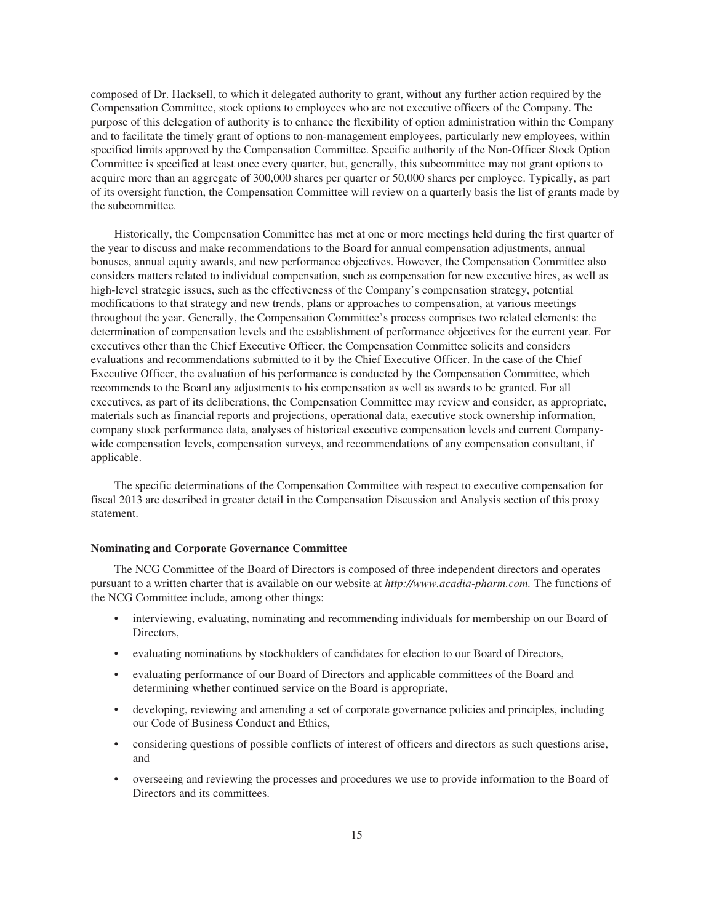composed of Dr. Hacksell, to which it delegated authority to grant, without any further action required by the Compensation Committee, stock options to employees who are not executive officers of the Company. The purpose of this delegation of authority is to enhance the flexibility of option administration within the Company and to facilitate the timely grant of options to non-management employees, particularly new employees, within specified limits approved by the Compensation Committee. Specific authority of the Non-Officer Stock Option Committee is specified at least once every quarter, but, generally, this subcommittee may not grant options to acquire more than an aggregate of 300,000 shares per quarter or 50,000 shares per employee. Typically, as part of its oversight function, the Compensation Committee will review on a quarterly basis the list of grants made by the subcommittee.

Historically, the Compensation Committee has met at one or more meetings held during the first quarter of the year to discuss and make recommendations to the Board for annual compensation adjustments, annual bonuses, annual equity awards, and new performance objectives. However, the Compensation Committee also considers matters related to individual compensation, such as compensation for new executive hires, as well as high-level strategic issues, such as the effectiveness of the Company's compensation strategy, potential modifications to that strategy and new trends, plans or approaches to compensation, at various meetings throughout the year. Generally, the Compensation Committee's process comprises two related elements: the determination of compensation levels and the establishment of performance objectives for the current year. For executives other than the Chief Executive Officer, the Compensation Committee solicits and considers evaluations and recommendations submitted to it by the Chief Executive Officer. In the case of the Chief Executive Officer, the evaluation of his performance is conducted by the Compensation Committee, which recommends to the Board any adjustments to his compensation as well as awards to be granted. For all executives, as part of its deliberations, the Compensation Committee may review and consider, as appropriate, materials such as financial reports and projections, operational data, executive stock ownership information, company stock performance data, analyses of historical executive compensation levels and current Companywide compensation levels, compensation surveys, and recommendations of any compensation consultant, if applicable.

The specific determinations of the Compensation Committee with respect to executive compensation for fiscal 2013 are described in greater detail in the Compensation Discussion and Analysis section of this proxy statement.

## **Nominating and Corporate Governance Committee**

The NCG Committee of the Board of Directors is composed of three independent directors and operates pursuant to a written charter that is available on our website at *http://www.acadia-pharm.com.* The functions of the NCG Committee include, among other things:

- interviewing, evaluating, nominating and recommending individuals for membership on our Board of Directors,
- evaluating nominations by stockholders of candidates for election to our Board of Directors,
- evaluating performance of our Board of Directors and applicable committees of the Board and determining whether continued service on the Board is appropriate,
- developing, reviewing and amending a set of corporate governance policies and principles, including our Code of Business Conduct and Ethics,
- considering questions of possible conflicts of interest of officers and directors as such questions arise, and
- overseeing and reviewing the processes and procedures we use to provide information to the Board of Directors and its committees.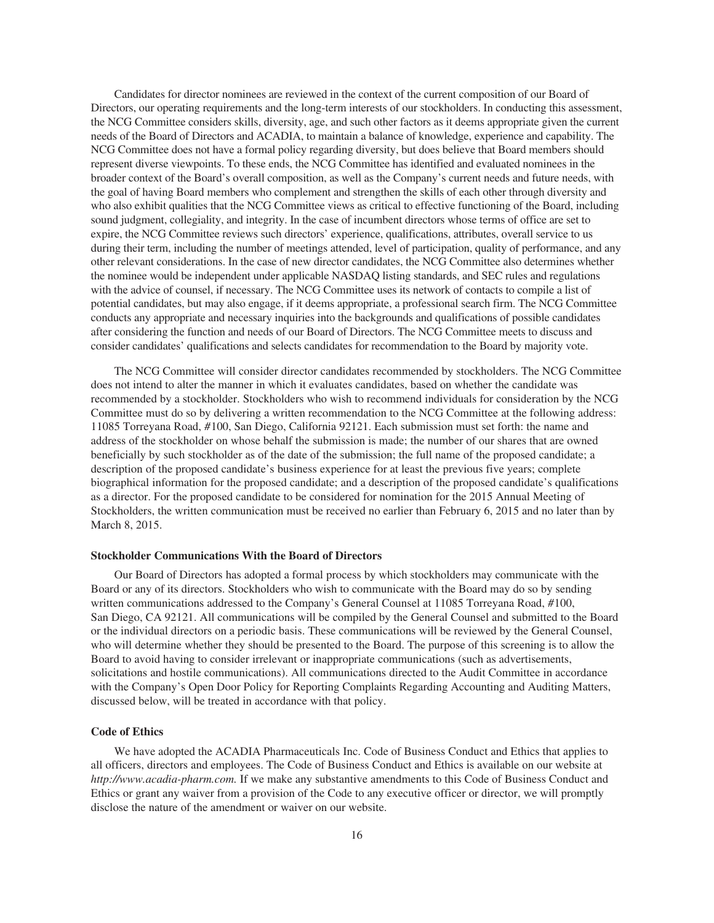Candidates for director nominees are reviewed in the context of the current composition of our Board of Directors, our operating requirements and the long-term interests of our stockholders. In conducting this assessment, the NCG Committee considers skills, diversity, age, and such other factors as it deems appropriate given the current needs of the Board of Directors and ACADIA, to maintain a balance of knowledge, experience and capability. The NCG Committee does not have a formal policy regarding diversity, but does believe that Board members should represent diverse viewpoints. To these ends, the NCG Committee has identified and evaluated nominees in the broader context of the Board's overall composition, as well as the Company's current needs and future needs, with the goal of having Board members who complement and strengthen the skills of each other through diversity and who also exhibit qualities that the NCG Committee views as critical to effective functioning of the Board, including sound judgment, collegiality, and integrity. In the case of incumbent directors whose terms of office are set to expire, the NCG Committee reviews such directors' experience, qualifications, attributes, overall service to us during their term, including the number of meetings attended, level of participation, quality of performance, and any other relevant considerations. In the case of new director candidates, the NCG Committee also determines whether the nominee would be independent under applicable NASDAQ listing standards, and SEC rules and regulations with the advice of counsel, if necessary. The NCG Committee uses its network of contacts to compile a list of potential candidates, but may also engage, if it deems appropriate, a professional search firm. The NCG Committee conducts any appropriate and necessary inquiries into the backgrounds and qualifications of possible candidates after considering the function and needs of our Board of Directors. The NCG Committee meets to discuss and consider candidates' qualifications and selects candidates for recommendation to the Board by majority vote.

The NCG Committee will consider director candidates recommended by stockholders. The NCG Committee does not intend to alter the manner in which it evaluates candidates, based on whether the candidate was recommended by a stockholder. Stockholders who wish to recommend individuals for consideration by the NCG Committee must do so by delivering a written recommendation to the NCG Committee at the following address: 11085 Torreyana Road, #100, San Diego, California 92121. Each submission must set forth: the name and address of the stockholder on whose behalf the submission is made; the number of our shares that are owned beneficially by such stockholder as of the date of the submission; the full name of the proposed candidate; a description of the proposed candidate's business experience for at least the previous five years; complete biographical information for the proposed candidate; and a description of the proposed candidate's qualifications as a director. For the proposed candidate to be considered for nomination for the 2015 Annual Meeting of Stockholders, the written communication must be received no earlier than February 6, 2015 and no later than by March 8, 2015.

#### **Stockholder Communications With the Board of Directors**

Our Board of Directors has adopted a formal process by which stockholders may communicate with the Board or any of its directors. Stockholders who wish to communicate with the Board may do so by sending written communications addressed to the Company's General Counsel at 11085 Torreyana Road, #100, San Diego, CA 92121. All communications will be compiled by the General Counsel and submitted to the Board or the individual directors on a periodic basis. These communications will be reviewed by the General Counsel, who will determine whether they should be presented to the Board. The purpose of this screening is to allow the Board to avoid having to consider irrelevant or inappropriate communications (such as advertisements, solicitations and hostile communications). All communications directed to the Audit Committee in accordance with the Company's Open Door Policy for Reporting Complaints Regarding Accounting and Auditing Matters, discussed below, will be treated in accordance with that policy.

### **Code of Ethics**

We have adopted the ACADIA Pharmaceuticals Inc. Code of Business Conduct and Ethics that applies to all officers, directors and employees. The Code of Business Conduct and Ethics is available on our website at *http://www.acadia-pharm.com.* If we make any substantive amendments to this Code of Business Conduct and Ethics or grant any waiver from a provision of the Code to any executive officer or director, we will promptly disclose the nature of the amendment or waiver on our website.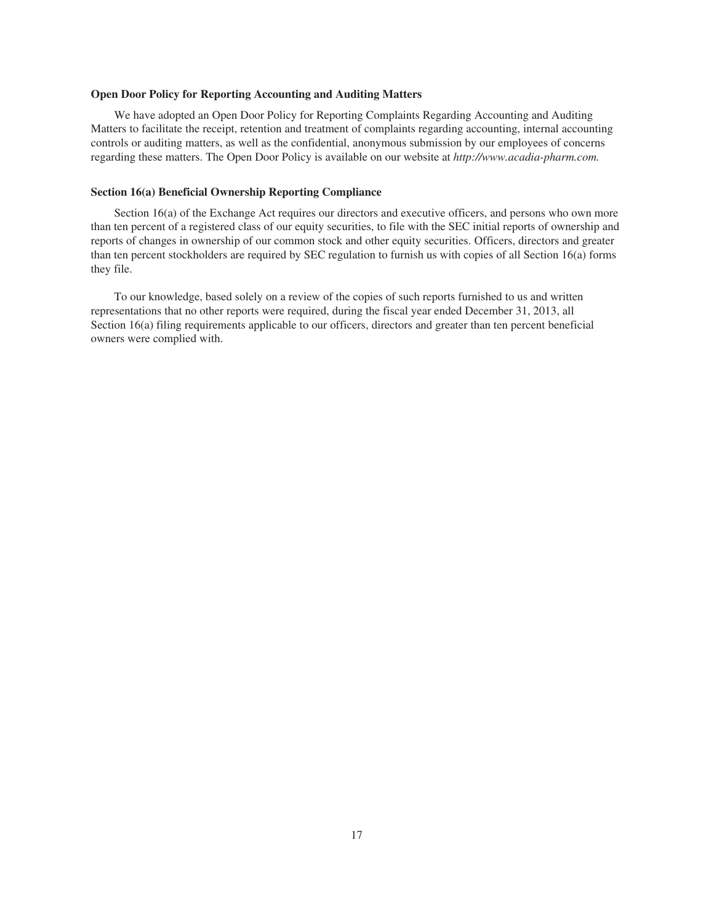### **Open Door Policy for Reporting Accounting and Auditing Matters**

We have adopted an Open Door Policy for Reporting Complaints Regarding Accounting and Auditing Matters to facilitate the receipt, retention and treatment of complaints regarding accounting, internal accounting controls or auditing matters, as well as the confidential, anonymous submission by our employees of concerns regarding these matters. The Open Door Policy is available on our website at *http://www.acadia-pharm.com.*

## **Section 16(a) Beneficial Ownership Reporting Compliance**

Section 16(a) of the Exchange Act requires our directors and executive officers, and persons who own more than ten percent of a registered class of our equity securities, to file with the SEC initial reports of ownership and reports of changes in ownership of our common stock and other equity securities. Officers, directors and greater than ten percent stockholders are required by SEC regulation to furnish us with copies of all Section 16(a) forms they file.

To our knowledge, based solely on a review of the copies of such reports furnished to us and written representations that no other reports were required, during the fiscal year ended December 31, 2013, all Section 16(a) filing requirements applicable to our officers, directors and greater than ten percent beneficial owners were complied with.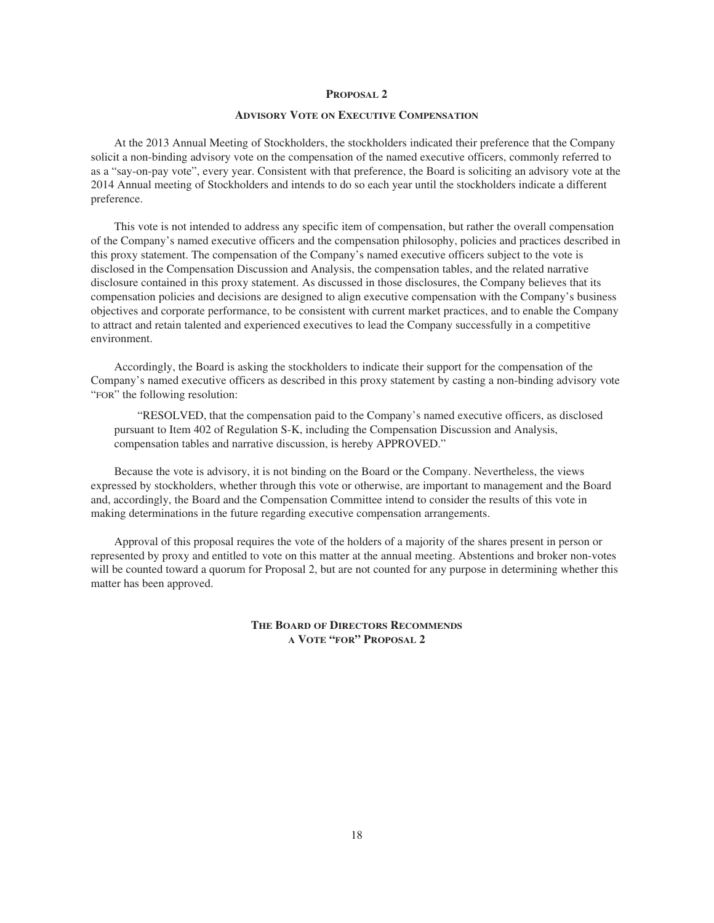#### **PROPOSAL 2**

## **ADVISORY VOTE ON EXECUTIVE COMPENSATION**

At the 2013 Annual Meeting of Stockholders, the stockholders indicated their preference that the Company solicit a non-binding advisory vote on the compensation of the named executive officers, commonly referred to as a "say-on-pay vote", every year. Consistent with that preference, the Board is soliciting an advisory vote at the 2014 Annual meeting of Stockholders and intends to do so each year until the stockholders indicate a different preference.

This vote is not intended to address any specific item of compensation, but rather the overall compensation of the Company's named executive officers and the compensation philosophy, policies and practices described in this proxy statement. The compensation of the Company's named executive officers subject to the vote is disclosed in the Compensation Discussion and Analysis, the compensation tables, and the related narrative disclosure contained in this proxy statement. As discussed in those disclosures, the Company believes that its compensation policies and decisions are designed to align executive compensation with the Company's business objectives and corporate performance, to be consistent with current market practices, and to enable the Company to attract and retain talented and experienced executives to lead the Company successfully in a competitive environment.

Accordingly, the Board is asking the stockholders to indicate their support for the compensation of the Company's named executive officers as described in this proxy statement by casting a non-binding advisory vote "FOR" the following resolution:

"RESOLVED, that the compensation paid to the Company's named executive officers, as disclosed pursuant to Item 402 of Regulation S-K, including the Compensation Discussion and Analysis, compensation tables and narrative discussion, is hereby APPROVED."

Because the vote is advisory, it is not binding on the Board or the Company. Nevertheless, the views expressed by stockholders, whether through this vote or otherwise, are important to management and the Board and, accordingly, the Board and the Compensation Committee intend to consider the results of this vote in making determinations in the future regarding executive compensation arrangements.

Approval of this proposal requires the vote of the holders of a majority of the shares present in person or represented by proxy and entitled to vote on this matter at the annual meeting. Abstentions and broker non-votes will be counted toward a quorum for Proposal 2, but are not counted for any purpose in determining whether this matter has been approved.

> **THE BOARD OF DIRECTORS RECOMMENDS A VOTE "FOR" PROPOSAL 2**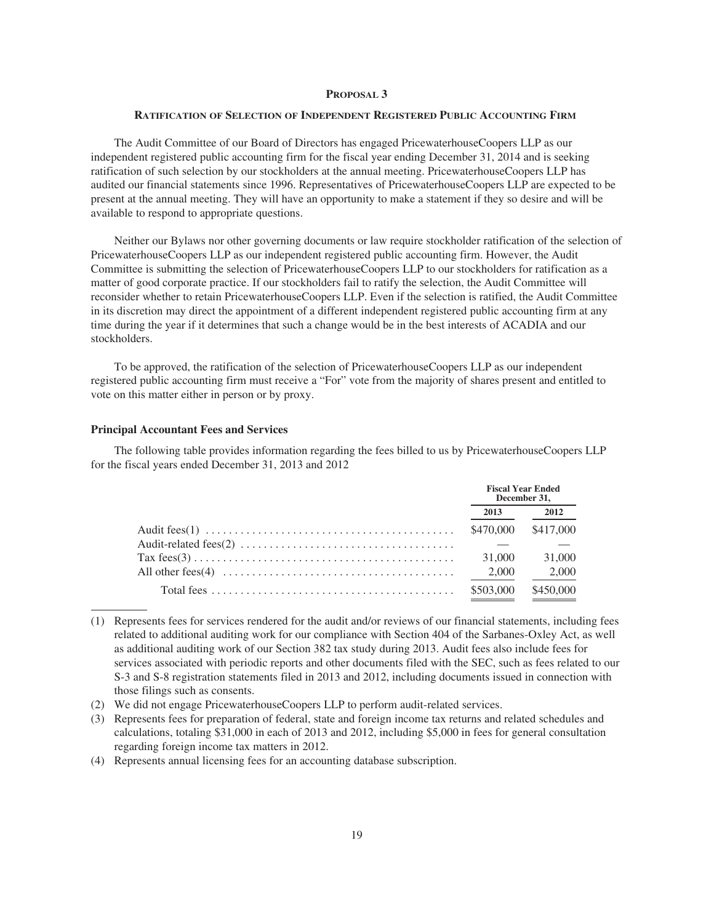#### **PROPOSAL 3**

### **RATIFICATION OF SELECTION OF INDEPENDENT REGISTERED PUBLIC ACCOUNTING FIRM**

The Audit Committee of our Board of Directors has engaged PricewaterhouseCoopers LLP as our independent registered public accounting firm for the fiscal year ending December 31, 2014 and is seeking ratification of such selection by our stockholders at the annual meeting. PricewaterhouseCoopers LLP has audited our financial statements since 1996. Representatives of PricewaterhouseCoopers LLP are expected to be present at the annual meeting. They will have an opportunity to make a statement if they so desire and will be available to respond to appropriate questions.

Neither our Bylaws nor other governing documents or law require stockholder ratification of the selection of PricewaterhouseCoopers LLP as our independent registered public accounting firm. However, the Audit Committee is submitting the selection of PricewaterhouseCoopers LLP to our stockholders for ratification as a matter of good corporate practice. If our stockholders fail to ratify the selection, the Audit Committee will reconsider whether to retain PricewaterhouseCoopers LLP. Even if the selection is ratified, the Audit Committee in its discretion may direct the appointment of a different independent registered public accounting firm at any time during the year if it determines that such a change would be in the best interests of ACADIA and our stockholders.

To be approved, the ratification of the selection of PricewaterhouseCoopers LLP as our independent registered public accounting firm must receive a "For" vote from the majority of shares present and entitled to vote on this matter either in person or by proxy.

#### **Principal Accountant Fees and Services**

The following table provides information regarding the fees billed to us by PricewaterhouseCoopers LLP for the fiscal years ended December 31, 2013 and 2012

|                                                                                                                | <b>Fiscal Year Ended</b><br>December 31, |           |
|----------------------------------------------------------------------------------------------------------------|------------------------------------------|-----------|
|                                                                                                                | 2013                                     | 2012      |
|                                                                                                                | \$470,000                                | \$417,000 |
|                                                                                                                |                                          |           |
| $\text{Tax fees}(3) \dots \dots \dots \dots \dots \dots \dots \dots \dots \dots \dots \dots \dots \dots \dots$ | 31,000                                   | 31,000    |
| All other fees(4) $\dots \dots \dots \dots \dots \dots \dots \dots \dots \dots \dots \dots$                    | 2.000                                    | 2,000     |
|                                                                                                                | \$503,000                                | \$450,000 |

(1) Represents fees for services rendered for the audit and/or reviews of our financial statements, including fees related to additional auditing work for our compliance with Section 404 of the Sarbanes-Oxley Act, as well as additional auditing work of our Section 382 tax study during 2013. Audit fees also include fees for services associated with periodic reports and other documents filed with the SEC, such as fees related to our S-3 and S-8 registration statements filed in 2013 and 2012, including documents issued in connection with those filings such as consents.

- (2) We did not engage PricewaterhouseCoopers LLP to perform audit-related services.
- (3) Represents fees for preparation of federal, state and foreign income tax returns and related schedules and calculations, totaling \$31,000 in each of 2013 and 2012, including \$5,000 in fees for general consultation regarding foreign income tax matters in 2012.
- (4) Represents annual licensing fees for an accounting database subscription.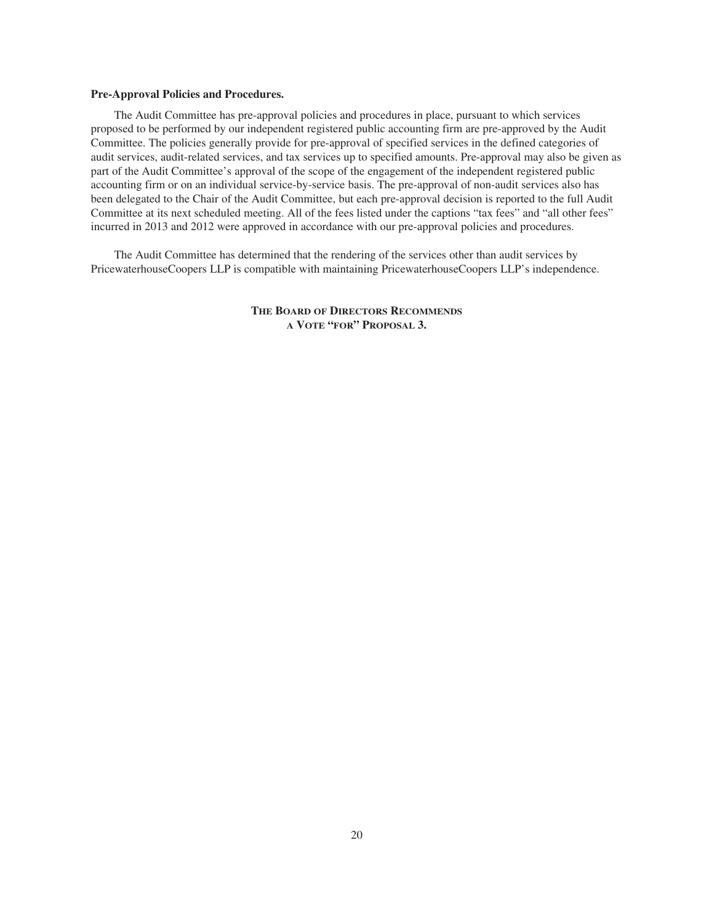### **Pre-Approval Policies and Procedures.**

The Audit Committee has pre-approval policies and procedures in place, pursuant to which services proposed to be performed by our independent registered public accounting firm are pre-approved by the Audit Committee. The policies generally provide for pre-approval of specified services in the defined categories of audit services, audit-related services, and tax services up to specified amounts. Pre-approval may also be given as part of the Audit Committee's approval of the scope of the engagement of the independent registered public accounting firm or on an individual service-by-service basis. The pre-approval of non-audit services also has been delegated to the Chair of the Audit Committee, but each pre-approval decision is reported to the full Audit Committee at its next scheduled meeting. All of the fees listed under the captions "tax fees" and "all other fees" incurred in 2013 and 2012 were approved in accordance with our pre-approval policies and procedures.

The Audit Committee has determined that the rendering of the services other than audit services by PricewaterhouseCoopers LLP is compatible with maintaining PricewaterhouseCoopers LLP's independence.

> **THE BOARD OF DIRECTORS RECOMMENDS A VOTE "FOR" PROPOSAL 3.**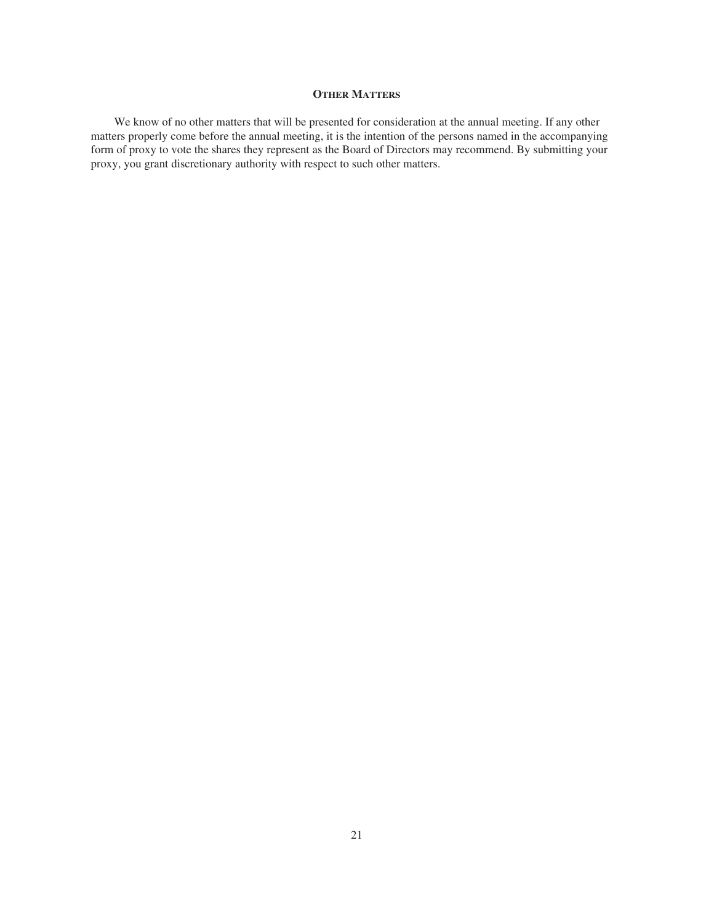## **OTHER MATTERS**

We know of no other matters that will be presented for consideration at the annual meeting. If any other matters properly come before the annual meeting, it is the intention of the persons named in the accompanying form of proxy to vote the shares they represent as the Board of Directors may recommend. By submitting your proxy, you grant discretionary authority with respect to such other matters.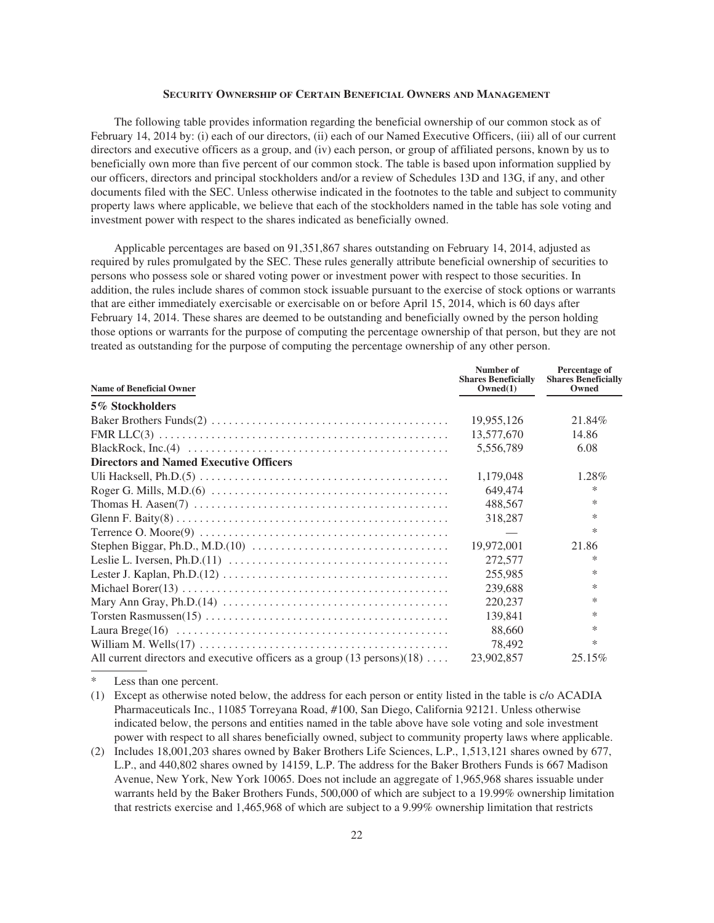### **SECURITY OWNERSHIP OF CERTAIN BENEFICIAL OWNERS AND MANAGEMENT**

The following table provides information regarding the beneficial ownership of our common stock as of February 14, 2014 by: (i) each of our directors, (ii) each of our Named Executive Officers, (iii) all of our current directors and executive officers as a group, and (iv) each person, or group of affiliated persons, known by us to beneficially own more than five percent of our common stock. The table is based upon information supplied by our officers, directors and principal stockholders and/or a review of Schedules 13D and 13G, if any, and other documents filed with the SEC. Unless otherwise indicated in the footnotes to the table and subject to community property laws where applicable, we believe that each of the stockholders named in the table has sole voting and investment power with respect to the shares indicated as beneficially owned.

Applicable percentages are based on 91,351,867 shares outstanding on February 14, 2014, adjusted as required by rules promulgated by the SEC. These rules generally attribute beneficial ownership of securities to persons who possess sole or shared voting power or investment power with respect to those securities. In addition, the rules include shares of common stock issuable pursuant to the exercise of stock options or warrants that are either immediately exercisable or exercisable on or before April 15, 2014, which is 60 days after February 14, 2014. These shares are deemed to be outstanding and beneficially owned by the person holding those options or warrants for the purpose of computing the percentage ownership of that person, but they are not treated as outstanding for the purpose of computing the percentage ownership of any other person.

| <b>Name of Beneficial Owner</b>                                                                                       | Number of<br><b>Shares Beneficially</b><br>Owned(1) | Percentage of<br><b>Shares Beneficially</b><br>Owned |
|-----------------------------------------------------------------------------------------------------------------------|-----------------------------------------------------|------------------------------------------------------|
| 5% Stockholders                                                                                                       |                                                     |                                                      |
|                                                                                                                       | 19,955,126                                          | 21.84%                                               |
|                                                                                                                       | 13,577,670                                          | 14.86                                                |
| BlackRock, Inc. (4) $\dots \dots \dots \dots \dots \dots \dots \dots \dots \dots \dots \dots \dots \dots \dots \dots$ | 5,556,789                                           | 6.08                                                 |
| <b>Directors and Named Executive Officers</b>                                                                         |                                                     |                                                      |
|                                                                                                                       | 1,179,048                                           | 1.28%                                                |
|                                                                                                                       | 649,474                                             | ∗                                                    |
|                                                                                                                       | 488.567                                             | *                                                    |
|                                                                                                                       | 318,287                                             | *                                                    |
|                                                                                                                       |                                                     | ∗                                                    |
|                                                                                                                       | 19,972,001                                          | 21.86                                                |
|                                                                                                                       | 272,577                                             | ∗                                                    |
|                                                                                                                       | 255,985                                             | *                                                    |
|                                                                                                                       | 239.688                                             | ∗                                                    |
|                                                                                                                       | 220,237                                             | *                                                    |
|                                                                                                                       | 139,841                                             | ∗                                                    |
|                                                                                                                       | 88,660                                              | *                                                    |
|                                                                                                                       | 78.492                                              | $\ast$                                               |
| All current directors and executive officers as a group $(13 \text{ persons})$ $(18)$                                 | 23,902,857                                          | 25.15%                                               |

Less than one percent.

(1) Except as otherwise noted below, the address for each person or entity listed in the table is c/o ACADIA Pharmaceuticals Inc., 11085 Torreyana Road, #100, San Diego, California 92121. Unless otherwise indicated below, the persons and entities named in the table above have sole voting and sole investment power with respect to all shares beneficially owned, subject to community property laws where applicable.

(2) Includes 18,001,203 shares owned by Baker Brothers Life Sciences, L.P., 1,513,121 shares owned by 677, L.P., and 440,802 shares owned by 14159, L.P. The address for the Baker Brothers Funds is 667 Madison Avenue, New York, New York 10065. Does not include an aggregate of 1,965,968 shares issuable under warrants held by the Baker Brothers Funds, 500,000 of which are subject to a 19.99% ownership limitation that restricts exercise and 1,465,968 of which are subject to a 9.99% ownership limitation that restricts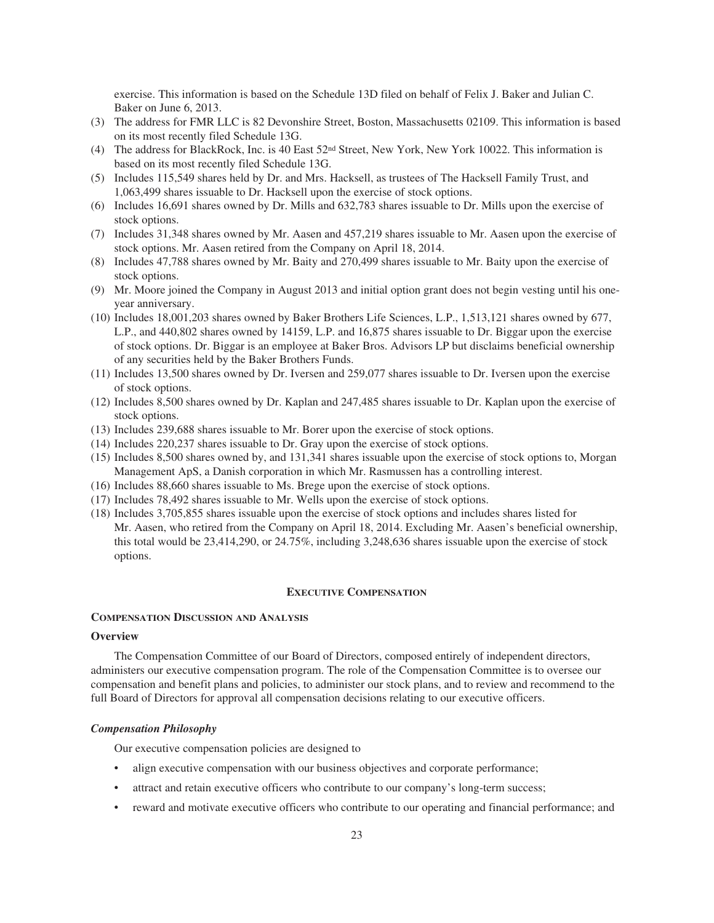exercise. This information is based on the Schedule 13D filed on behalf of Felix J. Baker and Julian C. Baker on June 6, 2013.

- (3) The address for FMR LLC is 82 Devonshire Street, Boston, Massachusetts 02109. This information is based on its most recently filed Schedule 13G.
- (4) The address for BlackRock, Inc. is 40 East 52nd Street, New York, New York 10022. This information is based on its most recently filed Schedule 13G.
- (5) Includes 115,549 shares held by Dr. and Mrs. Hacksell, as trustees of The Hacksell Family Trust, and 1,063,499 shares issuable to Dr. Hacksell upon the exercise of stock options.
- (6) Includes 16,691 shares owned by Dr. Mills and 632,783 shares issuable to Dr. Mills upon the exercise of stock options.
- (7) Includes 31,348 shares owned by Mr. Aasen and 457,219 shares issuable to Mr. Aasen upon the exercise of stock options. Mr. Aasen retired from the Company on April 18, 2014.
- (8) Includes 47,788 shares owned by Mr. Baity and 270,499 shares issuable to Mr. Baity upon the exercise of stock options.
- (9) Mr. Moore joined the Company in August 2013 and initial option grant does not begin vesting until his oneyear anniversary.
- (10) Includes 18,001,203 shares owned by Baker Brothers Life Sciences, L.P., 1,513,121 shares owned by 677, L.P., and 440,802 shares owned by 14159, L.P. and 16,875 shares issuable to Dr. Biggar upon the exercise of stock options. Dr. Biggar is an employee at Baker Bros. Advisors LP but disclaims beneficial ownership of any securities held by the Baker Brothers Funds.
- (11) Includes 13,500 shares owned by Dr. Iversen and 259,077 shares issuable to Dr. Iversen upon the exercise of stock options.
- (12) Includes 8,500 shares owned by Dr. Kaplan and 247,485 shares issuable to Dr. Kaplan upon the exercise of stock options.
- (13) Includes 239,688 shares issuable to Mr. Borer upon the exercise of stock options.
- (14) Includes 220,237 shares issuable to Dr. Gray upon the exercise of stock options.
- (15) Includes 8,500 shares owned by, and 131,341 shares issuable upon the exercise of stock options to, Morgan Management ApS, a Danish corporation in which Mr. Rasmussen has a controlling interest.
- (16) Includes 88,660 shares issuable to Ms. Brege upon the exercise of stock options.
- (17) Includes 78,492 shares issuable to Mr. Wells upon the exercise of stock options.
- (18) Includes 3,705,855 shares issuable upon the exercise of stock options and includes shares listed for Mr. Aasen, who retired from the Company on April 18, 2014. Excluding Mr. Aasen's beneficial ownership, this total would be 23,414,290, or 24.75%, including 3,248,636 shares issuable upon the exercise of stock options.

### **EXECUTIVE COMPENSATION**

#### **COMPENSATION DISCUSSION AND ANALYSIS**

### **Overview**

The Compensation Committee of our Board of Directors, composed entirely of independent directors, administers our executive compensation program. The role of the Compensation Committee is to oversee our compensation and benefit plans and policies, to administer our stock plans, and to review and recommend to the full Board of Directors for approval all compensation decisions relating to our executive officers.

## *Compensation Philosophy*

Our executive compensation policies are designed to

- align executive compensation with our business objectives and corporate performance;
- attract and retain executive officers who contribute to our company's long-term success;
- reward and motivate executive officers who contribute to our operating and financial performance; and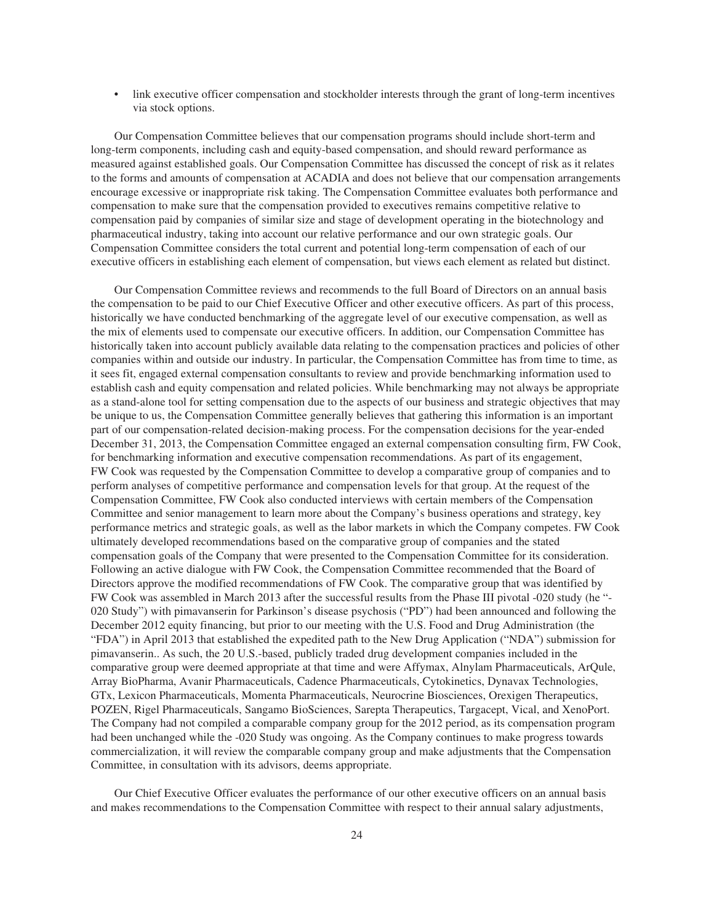• link executive officer compensation and stockholder interests through the grant of long-term incentives via stock options.

Our Compensation Committee believes that our compensation programs should include short-term and long-term components, including cash and equity-based compensation, and should reward performance as measured against established goals. Our Compensation Committee has discussed the concept of risk as it relates to the forms and amounts of compensation at ACADIA and does not believe that our compensation arrangements encourage excessive or inappropriate risk taking. The Compensation Committee evaluates both performance and compensation to make sure that the compensation provided to executives remains competitive relative to compensation paid by companies of similar size and stage of development operating in the biotechnology and pharmaceutical industry, taking into account our relative performance and our own strategic goals. Our Compensation Committee considers the total current and potential long-term compensation of each of our executive officers in establishing each element of compensation, but views each element as related but distinct.

Our Compensation Committee reviews and recommends to the full Board of Directors on an annual basis the compensation to be paid to our Chief Executive Officer and other executive officers. As part of this process, historically we have conducted benchmarking of the aggregate level of our executive compensation, as well as the mix of elements used to compensate our executive officers. In addition, our Compensation Committee has historically taken into account publicly available data relating to the compensation practices and policies of other companies within and outside our industry. In particular, the Compensation Committee has from time to time, as it sees fit, engaged external compensation consultants to review and provide benchmarking information used to establish cash and equity compensation and related policies. While benchmarking may not always be appropriate as a stand-alone tool for setting compensation due to the aspects of our business and strategic objectives that may be unique to us, the Compensation Committee generally believes that gathering this information is an important part of our compensation-related decision-making process. For the compensation decisions for the year-ended December 31, 2013, the Compensation Committee engaged an external compensation consulting firm, FW Cook, for benchmarking information and executive compensation recommendations. As part of its engagement, FW Cook was requested by the Compensation Committee to develop a comparative group of companies and to perform analyses of competitive performance and compensation levels for that group. At the request of the Compensation Committee, FW Cook also conducted interviews with certain members of the Compensation Committee and senior management to learn more about the Company's business operations and strategy, key performance metrics and strategic goals, as well as the labor markets in which the Company competes. FW Cook ultimately developed recommendations based on the comparative group of companies and the stated compensation goals of the Company that were presented to the Compensation Committee for its consideration. Following an active dialogue with FW Cook, the Compensation Committee recommended that the Board of Directors approve the modified recommendations of FW Cook. The comparative group that was identified by FW Cook was assembled in March 2013 after the successful results from the Phase III pivotal -020 study (he "- 020 Study") with pimavanserin for Parkinson's disease psychosis ("PD") had been announced and following the December 2012 equity financing, but prior to our meeting with the U.S. Food and Drug Administration (the "FDA") in April 2013 that established the expedited path to the New Drug Application ("NDA") submission for pimavanserin.. As such, the 20 U.S.-based, publicly traded drug development companies included in the comparative group were deemed appropriate at that time and were Affymax, Alnylam Pharmaceuticals, ArQule, Array BioPharma, Avanir Pharmaceuticals, Cadence Pharmaceuticals, Cytokinetics, Dynavax Technologies, GTx, Lexicon Pharmaceuticals, Momenta Pharmaceuticals, Neurocrine Biosciences, Orexigen Therapeutics, POZEN, Rigel Pharmaceuticals, Sangamo BioSciences, Sarepta Therapeutics, Targacept, Vical, and XenoPort. The Company had not compiled a comparable company group for the 2012 period, as its compensation program had been unchanged while the -020 Study was ongoing. As the Company continues to make progress towards commercialization, it will review the comparable company group and make adjustments that the Compensation Committee, in consultation with its advisors, deems appropriate.

Our Chief Executive Officer evaluates the performance of our other executive officers on an annual basis and makes recommendations to the Compensation Committee with respect to their annual salary adjustments,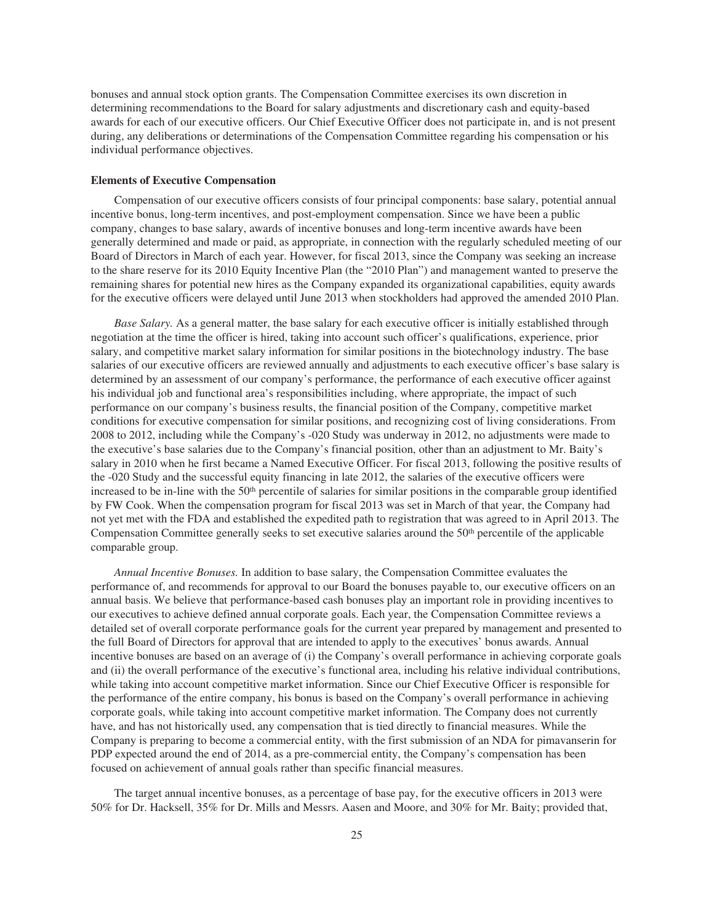bonuses and annual stock option grants. The Compensation Committee exercises its own discretion in determining recommendations to the Board for salary adjustments and discretionary cash and equity-based awards for each of our executive officers. Our Chief Executive Officer does not participate in, and is not present during, any deliberations or determinations of the Compensation Committee regarding his compensation or his individual performance objectives.

#### **Elements of Executive Compensation**

Compensation of our executive officers consists of four principal components: base salary, potential annual incentive bonus, long-term incentives, and post-employment compensation. Since we have been a public company, changes to base salary, awards of incentive bonuses and long-term incentive awards have been generally determined and made or paid, as appropriate, in connection with the regularly scheduled meeting of our Board of Directors in March of each year. However, for fiscal 2013, since the Company was seeking an increase to the share reserve for its 2010 Equity Incentive Plan (the "2010 Plan") and management wanted to preserve the remaining shares for potential new hires as the Company expanded its organizational capabilities, equity awards for the executive officers were delayed until June 2013 when stockholders had approved the amended 2010 Plan.

*Base Salary.* As a general matter, the base salary for each executive officer is initially established through negotiation at the time the officer is hired, taking into account such officer's qualifications, experience, prior salary, and competitive market salary information for similar positions in the biotechnology industry. The base salaries of our executive officers are reviewed annually and adjustments to each executive officer's base salary is determined by an assessment of our company's performance, the performance of each executive officer against his individual job and functional area's responsibilities including, where appropriate, the impact of such performance on our company's business results, the financial position of the Company, competitive market conditions for executive compensation for similar positions, and recognizing cost of living considerations. From 2008 to 2012, including while the Company's -020 Study was underway in 2012, no adjustments were made to the executive's base salaries due to the Company's financial position, other than an adjustment to Mr. Baity's salary in 2010 when he first became a Named Executive Officer. For fiscal 2013, following the positive results of the -020 Study and the successful equity financing in late 2012, the salaries of the executive officers were increased to be in-line with the 50<sup>th</sup> percentile of salaries for similar positions in the comparable group identified by FW Cook. When the compensation program for fiscal 2013 was set in March of that year, the Company had not yet met with the FDA and established the expedited path to registration that was agreed to in April 2013. The Compensation Committee generally seeks to set executive salaries around the 50<sup>th</sup> percentile of the applicable comparable group.

*Annual Incentive Bonuses.* In addition to base salary, the Compensation Committee evaluates the performance of, and recommends for approval to our Board the bonuses payable to, our executive officers on an annual basis. We believe that performance-based cash bonuses play an important role in providing incentives to our executives to achieve defined annual corporate goals. Each year, the Compensation Committee reviews a detailed set of overall corporate performance goals for the current year prepared by management and presented to the full Board of Directors for approval that are intended to apply to the executives' bonus awards. Annual incentive bonuses are based on an average of (i) the Company's overall performance in achieving corporate goals and (ii) the overall performance of the executive's functional area, including his relative individual contributions, while taking into account competitive market information. Since our Chief Executive Officer is responsible for the performance of the entire company, his bonus is based on the Company's overall performance in achieving corporate goals, while taking into account competitive market information. The Company does not currently have, and has not historically used, any compensation that is tied directly to financial measures. While the Company is preparing to become a commercial entity, with the first submission of an NDA for pimavanserin for PDP expected around the end of 2014, as a pre-commercial entity, the Company's compensation has been focused on achievement of annual goals rather than specific financial measures.

The target annual incentive bonuses, as a percentage of base pay, for the executive officers in 2013 were 50% for Dr. Hacksell, 35% for Dr. Mills and Messrs. Aasen and Moore, and 30% for Mr. Baity; provided that,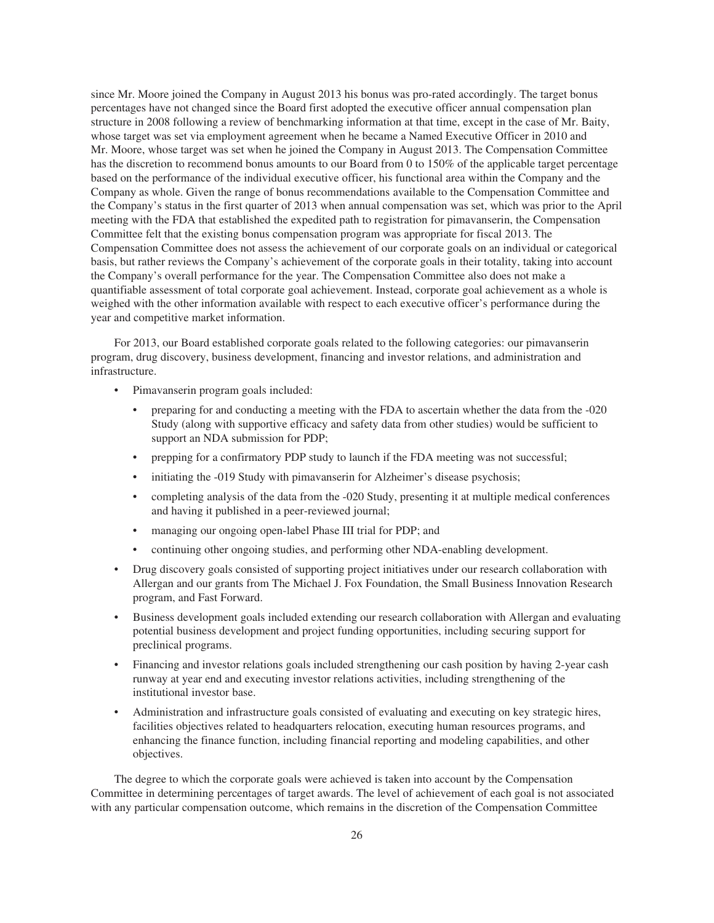since Mr. Moore joined the Company in August 2013 his bonus was pro-rated accordingly. The target bonus percentages have not changed since the Board first adopted the executive officer annual compensation plan structure in 2008 following a review of benchmarking information at that time, except in the case of Mr. Baity, whose target was set via employment agreement when he became a Named Executive Officer in 2010 and Mr. Moore, whose target was set when he joined the Company in August 2013. The Compensation Committee has the discretion to recommend bonus amounts to our Board from 0 to 150% of the applicable target percentage based on the performance of the individual executive officer, his functional area within the Company and the Company as whole. Given the range of bonus recommendations available to the Compensation Committee and the Company's status in the first quarter of 2013 when annual compensation was set, which was prior to the April meeting with the FDA that established the expedited path to registration for pimavanserin, the Compensation Committee felt that the existing bonus compensation program was appropriate for fiscal 2013. The Compensation Committee does not assess the achievement of our corporate goals on an individual or categorical basis, but rather reviews the Company's achievement of the corporate goals in their totality, taking into account the Company's overall performance for the year. The Compensation Committee also does not make a quantifiable assessment of total corporate goal achievement. Instead, corporate goal achievement as a whole is weighed with the other information available with respect to each executive officer's performance during the year and competitive market information.

For 2013, our Board established corporate goals related to the following categories: our pimavanserin program, drug discovery, business development, financing and investor relations, and administration and infrastructure.

- Pimavanserin program goals included:
	- preparing for and conducting a meeting with the FDA to ascertain whether the data from the -020 Study (along with supportive efficacy and safety data from other studies) would be sufficient to support an NDA submission for PDP;
	- prepping for a confirmatory PDP study to launch if the FDA meeting was not successful;
	- initiating the -019 Study with pimavanserin for Alzheimer's disease psychosis;
	- completing analysis of the data from the -020 Study, presenting it at multiple medical conferences and having it published in a peer-reviewed journal;
	- managing our ongoing open-label Phase III trial for PDP; and
	- continuing other ongoing studies, and performing other NDA-enabling development.
- Drug discovery goals consisted of supporting project initiatives under our research collaboration with Allergan and our grants from The Michael J. Fox Foundation, the Small Business Innovation Research program, and Fast Forward.
- Business development goals included extending our research collaboration with Allergan and evaluating potential business development and project funding opportunities, including securing support for preclinical programs.
- Financing and investor relations goals included strengthening our cash position by having 2-year cash runway at year end and executing investor relations activities, including strengthening of the institutional investor base.
- Administration and infrastructure goals consisted of evaluating and executing on key strategic hires, facilities objectives related to headquarters relocation, executing human resources programs, and enhancing the finance function, including financial reporting and modeling capabilities, and other objectives.

The degree to which the corporate goals were achieved is taken into account by the Compensation Committee in determining percentages of target awards. The level of achievement of each goal is not associated with any particular compensation outcome, which remains in the discretion of the Compensation Committee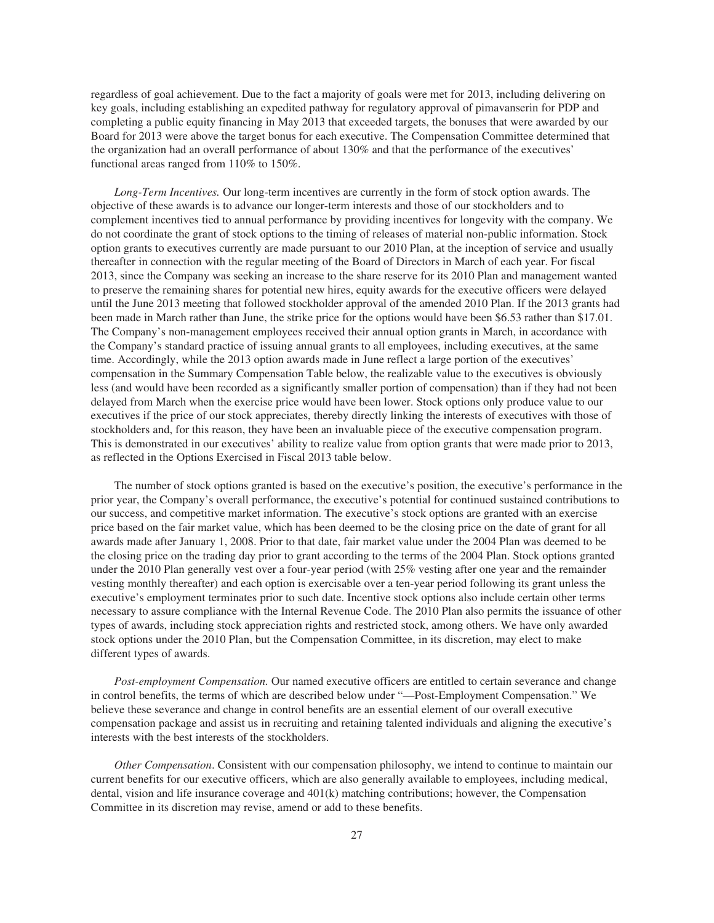regardless of goal achievement. Due to the fact a majority of goals were met for 2013, including delivering on key goals, including establishing an expedited pathway for regulatory approval of pimavanserin for PDP and completing a public equity financing in May 2013 that exceeded targets, the bonuses that were awarded by our Board for 2013 were above the target bonus for each executive. The Compensation Committee determined that the organization had an overall performance of about 130% and that the performance of the executives' functional areas ranged from 110% to 150%.

*Long-Term Incentives.* Our long-term incentives are currently in the form of stock option awards. The objective of these awards is to advance our longer-term interests and those of our stockholders and to complement incentives tied to annual performance by providing incentives for longevity with the company. We do not coordinate the grant of stock options to the timing of releases of material non-public information. Stock option grants to executives currently are made pursuant to our 2010 Plan, at the inception of service and usually thereafter in connection with the regular meeting of the Board of Directors in March of each year. For fiscal 2013, since the Company was seeking an increase to the share reserve for its 2010 Plan and management wanted to preserve the remaining shares for potential new hires, equity awards for the executive officers were delayed until the June 2013 meeting that followed stockholder approval of the amended 2010 Plan. If the 2013 grants had been made in March rather than June, the strike price for the options would have been \$6.53 rather than \$17.01. The Company's non-management employees received their annual option grants in March, in accordance with the Company's standard practice of issuing annual grants to all employees, including executives, at the same time. Accordingly, while the 2013 option awards made in June reflect a large portion of the executives' compensation in the Summary Compensation Table below, the realizable value to the executives is obviously less (and would have been recorded as a significantly smaller portion of compensation) than if they had not been delayed from March when the exercise price would have been lower. Stock options only produce value to our executives if the price of our stock appreciates, thereby directly linking the interests of executives with those of stockholders and, for this reason, they have been an invaluable piece of the executive compensation program. This is demonstrated in our executives' ability to realize value from option grants that were made prior to 2013, as reflected in the Options Exercised in Fiscal 2013 table below.

The number of stock options granted is based on the executive's position, the executive's performance in the prior year, the Company's overall performance, the executive's potential for continued sustained contributions to our success, and competitive market information. The executive's stock options are granted with an exercise price based on the fair market value, which has been deemed to be the closing price on the date of grant for all awards made after January 1, 2008. Prior to that date, fair market value under the 2004 Plan was deemed to be the closing price on the trading day prior to grant according to the terms of the 2004 Plan. Stock options granted under the 2010 Plan generally vest over a four-year period (with 25% vesting after one year and the remainder vesting monthly thereafter) and each option is exercisable over a ten-year period following its grant unless the executive's employment terminates prior to such date. Incentive stock options also include certain other terms necessary to assure compliance with the Internal Revenue Code. The 2010 Plan also permits the issuance of other types of awards, including stock appreciation rights and restricted stock, among others. We have only awarded stock options under the 2010 Plan, but the Compensation Committee, in its discretion, may elect to make different types of awards.

*Post-employment Compensation.* Our named executive officers are entitled to certain severance and change in control benefits, the terms of which are described below under "—Post-Employment Compensation." We believe these severance and change in control benefits are an essential element of our overall executive compensation package and assist us in recruiting and retaining talented individuals and aligning the executive's interests with the best interests of the stockholders.

*Other Compensation*. Consistent with our compensation philosophy, we intend to continue to maintain our current benefits for our executive officers, which are also generally available to employees, including medical, dental, vision and life insurance coverage and 401(k) matching contributions; however, the Compensation Committee in its discretion may revise, amend or add to these benefits.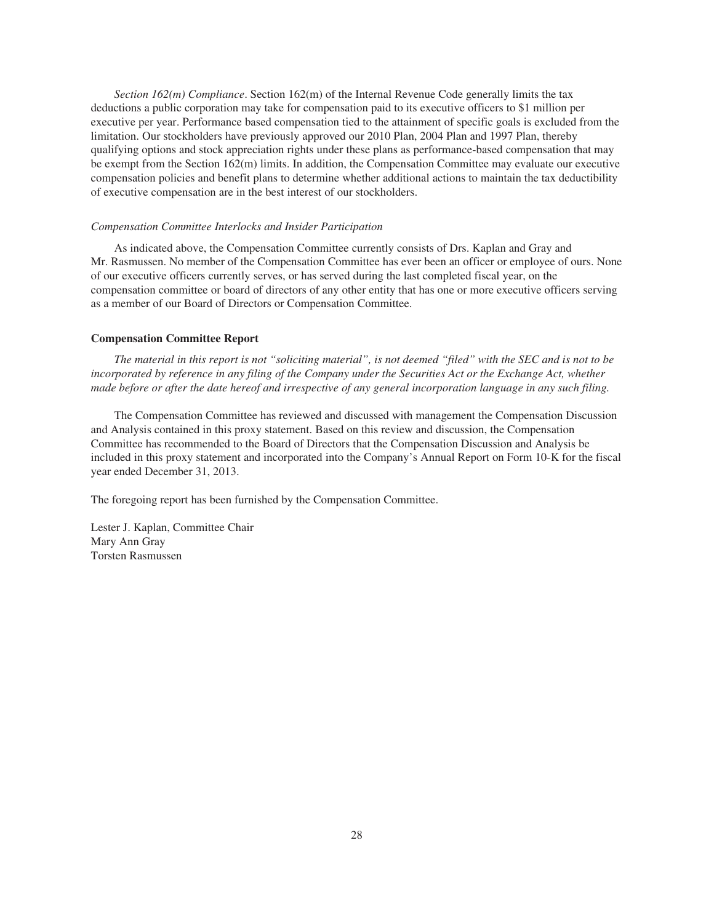*Section 162(m) Compliance*. Section 162(m) of the Internal Revenue Code generally limits the tax deductions a public corporation may take for compensation paid to its executive officers to \$1 million per executive per year. Performance based compensation tied to the attainment of specific goals is excluded from the limitation. Our stockholders have previously approved our 2010 Plan, 2004 Plan and 1997 Plan, thereby qualifying options and stock appreciation rights under these plans as performance-based compensation that may be exempt from the Section 162(m) limits. In addition, the Compensation Committee may evaluate our executive compensation policies and benefit plans to determine whether additional actions to maintain the tax deductibility of executive compensation are in the best interest of our stockholders.

#### *Compensation Committee Interlocks and Insider Participation*

As indicated above, the Compensation Committee currently consists of Drs. Kaplan and Gray and Mr. Rasmussen. No member of the Compensation Committee has ever been an officer or employee of ours. None of our executive officers currently serves, or has served during the last completed fiscal year, on the compensation committee or board of directors of any other entity that has one or more executive officers serving as a member of our Board of Directors or Compensation Committee.

## **Compensation Committee Report**

*The material in this report is not "soliciting material", is not deemed "filed" with the SEC and is not to be incorporated by reference in any filing of the Company under the Securities Act or the Exchange Act, whether made before or after the date hereof and irrespective of any general incorporation language in any such filing.*

The Compensation Committee has reviewed and discussed with management the Compensation Discussion and Analysis contained in this proxy statement. Based on this review and discussion, the Compensation Committee has recommended to the Board of Directors that the Compensation Discussion and Analysis be included in this proxy statement and incorporated into the Company's Annual Report on Form 10-K for the fiscal year ended December 31, 2013.

The foregoing report has been furnished by the Compensation Committee.

Lester J. Kaplan, Committee Chair Mary Ann Gray Torsten Rasmussen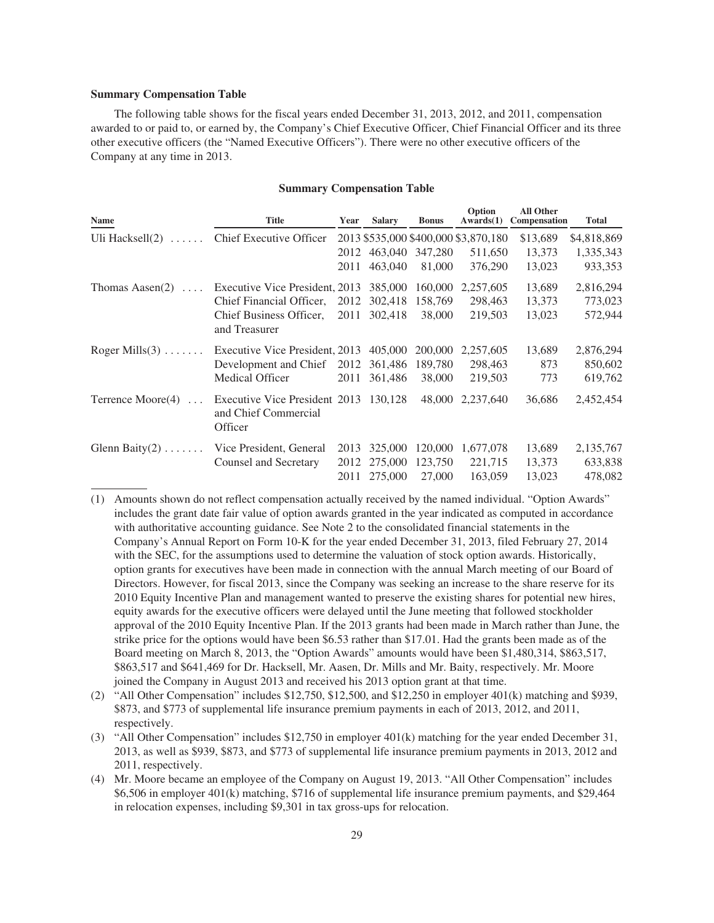## **Summary Compensation Table**

The following table shows for the fiscal years ended December 31, 2013, 2012, and 2011, compensation awarded to or paid to, or earned by, the Company's Chief Executive Officer, Chief Financial Officer and its three other executive officers (the "Named Executive Officers"). There were no other executive officers of the Company at any time in 2013.

## **Summary Compensation Table**

| <b>Name</b>                      | <b>Title</b>                                                             | Year | <b>Salary</b> | <b>Bonus</b>         | Option<br>Awards(1)                  | <b>All Other</b><br><b>Compensation</b> | Total       |
|----------------------------------|--------------------------------------------------------------------------|------|---------------|----------------------|--------------------------------------|-----------------------------------------|-------------|
| Uli Hacksell $(2)$               | Chief Executive Officer                                                  |      |               |                      | 2013 \$535,000 \$400,000 \$3,870,180 | \$13,689                                | \$4,818,869 |
|                                  |                                                                          |      |               | 2012 463,040 347,280 | 511,650                              | 13,373                                  | 1,335,343   |
|                                  |                                                                          | 2011 | 463,040       | 81,000               | 376,290                              | 13,023                                  | 933,353     |
| Thomas Aasen $(2)$<br>$\ldots$ . | Executive Vice President, 2013 385,000 160,000                           |      |               |                      | 2,257,605                            | 13,689                                  | 2,816,294   |
|                                  | Chief Financial Officer, 2012 302,418                                    |      |               | 158,769              | 298,463                              | 13,373                                  | 773,023     |
|                                  | Chief Business Officer,<br>and Treasurer                                 |      | 2011 302,418  | 38,000               | 219,503                              | 13,023                                  | 572,944     |
| Roger Mills $(3)$                | Executive Vice President, 2013 405,000                                   |      |               | 200,000              | 2,257,605                            | 13,689                                  | 2,876,294   |
|                                  | Development and Chief 2012 361,486                                       |      |               | 189,780              | 298,463                              | 873                                     | 850,602     |
|                                  | Medical Officer                                                          |      | 2011 361,486  | 38,000               | 219,503                              | 773                                     | 619,762     |
| Terrence Moore(4)<br>$\ldots$    | Executive Vice President 2013 130,128<br>and Chief Commercial<br>Officer |      |               | 48,000               | 2,237,640                            | 36,686                                  | 2,452,454   |
| Glenn Baity $(2)$                | Vice President, General                                                  | 2013 | 325,000       | 120,000              | 1,677,078                            | 13,689                                  | 2,135,767   |
|                                  | Counsel and Secretary                                                    | 2012 | 275,000       | 123,750              | 221,715                              | 13,373                                  | 633,838     |
|                                  |                                                                          | 2011 | 275,000       | 27,000               | 163,059                              | 13,023                                  | 478,082     |

(1) Amounts shown do not reflect compensation actually received by the named individual. "Option Awards" includes the grant date fair value of option awards granted in the year indicated as computed in accordance with authoritative accounting guidance. See Note 2 to the consolidated financial statements in the Company's Annual Report on Form 10-K for the year ended December 31, 2013, filed February 27, 2014 with the SEC, for the assumptions used to determine the valuation of stock option awards. Historically, option grants for executives have been made in connection with the annual March meeting of our Board of Directors. However, for fiscal 2013, since the Company was seeking an increase to the share reserve for its 2010 Equity Incentive Plan and management wanted to preserve the existing shares for potential new hires, equity awards for the executive officers were delayed until the June meeting that followed stockholder approval of the 2010 Equity Incentive Plan. If the 2013 grants had been made in March rather than June, the strike price for the options would have been \$6.53 rather than \$17.01. Had the grants been made as of the Board meeting on March 8, 2013, the "Option Awards" amounts would have been \$1,480,314, \$863,517, \$863,517 and \$641,469 for Dr. Hacksell, Mr. Aasen, Dr. Mills and Mr. Baity, respectively. Mr. Moore joined the Company in August 2013 and received his 2013 option grant at that time.

- (2) "All Other Compensation" includes \$12,750, \$12,500, and \$12,250 in employer 401(k) matching and \$939, \$873, and \$773 of supplemental life insurance premium payments in each of 2013, 2012, and 2011, respectively.
- (3) "All Other Compensation" includes \$12,750 in employer 401(k) matching for the year ended December 31, 2013, as well as \$939, \$873, and \$773 of supplemental life insurance premium payments in 2013, 2012 and 2011, respectively.
- (4) Mr. Moore became an employee of the Company on August 19, 2013. "All Other Compensation" includes \$6,506 in employer 401(k) matching, \$716 of supplemental life insurance premium payments, and \$29,464 in relocation expenses, including \$9,301 in tax gross-ups for relocation.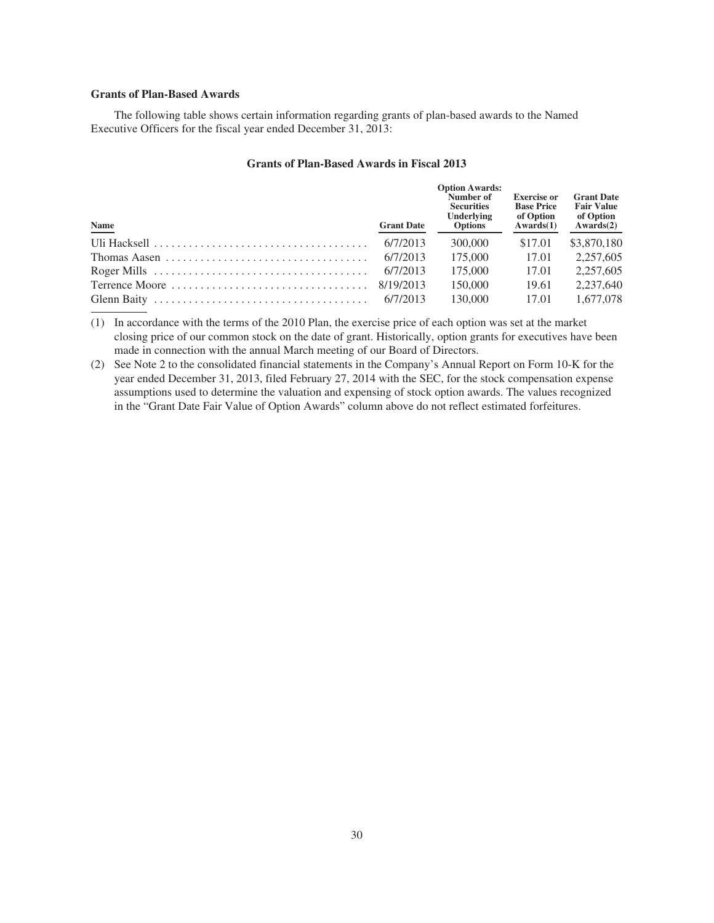### **Grants of Plan-Based Awards**

The following table shows certain information regarding grants of plan-based awards to the Named Executive Officers for the fiscal year ended December 31, 2013:

## **Grants of Plan-Based Awards in Fiscal 2013**

| Name                                                                                      | <b>Grant Date</b> | <b>Option Awards:</b><br>Number of<br><b>Securities</b><br>Underlying<br><b>Options</b> | <b>Exercise or</b><br><b>Base Price</b><br>of Option<br>Awards(1) | <b>Grant Date</b><br><b>Fair Value</b><br>of Option<br>Awards(2) |
|-------------------------------------------------------------------------------------------|-------------------|-----------------------------------------------------------------------------------------|-------------------------------------------------------------------|------------------------------------------------------------------|
|                                                                                           |                   | 300,000                                                                                 | \$17.01                                                           | \$3,870,180                                                      |
| Thomas Aasen $\dots \dots \dots \dots \dots \dots \dots \dots \dots \dots \dots$ 6/7/2013 |                   | 175,000                                                                                 | 17.01                                                             | 2.257.605                                                        |
|                                                                                           |                   | 175,000                                                                                 | 17.01                                                             | 2.257.605                                                        |
|                                                                                           |                   | 150,000                                                                                 | 19.61                                                             | 2.237.640                                                        |
|                                                                                           |                   | 130,000                                                                                 | 17.01                                                             | 1,677,078                                                        |

(1) In accordance with the terms of the 2010 Plan, the exercise price of each option was set at the market closing price of our common stock on the date of grant. Historically, option grants for executives have been made in connection with the annual March meeting of our Board of Directors.

(2) See Note 2 to the consolidated financial statements in the Company's Annual Report on Form 10-K for the year ended December 31, 2013, filed February 27, 2014 with the SEC, for the stock compensation expense assumptions used to determine the valuation and expensing of stock option awards. The values recognized in the "Grant Date Fair Value of Option Awards" column above do not reflect estimated forfeitures.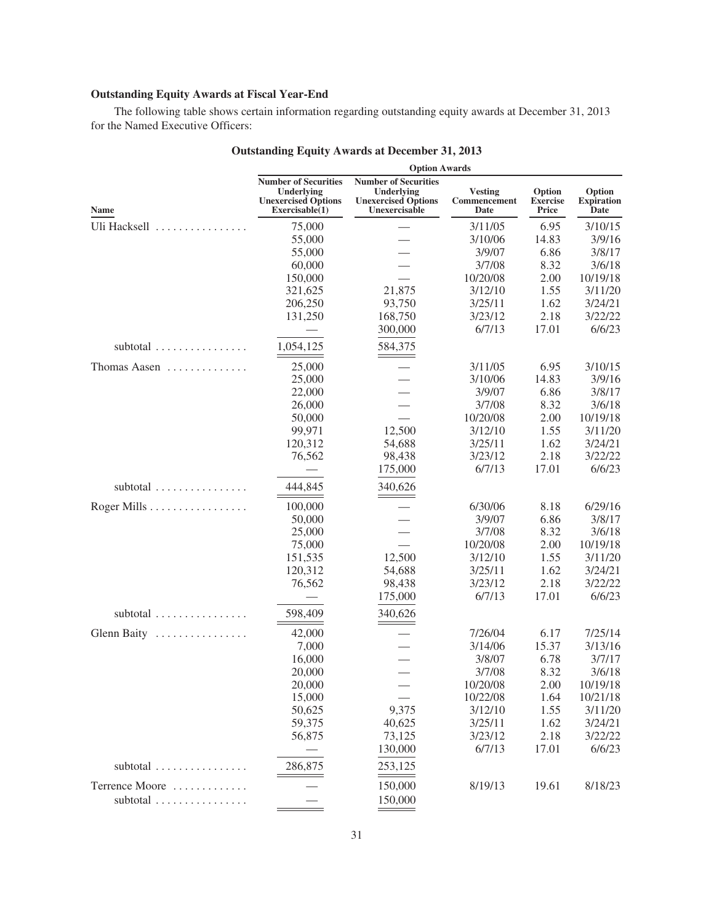# **Outstanding Equity Awards at Fiscal Year-End**

The following table shows certain information regarding outstanding equity awards at December 31, 2013 for the Named Executive Officers:

|                                             |                                                                                            | <b>Option Awards</b>                                                                     |                                        |                                    |                                     |  |  |
|---------------------------------------------|--------------------------------------------------------------------------------------------|------------------------------------------------------------------------------------------|----------------------------------------|------------------------------------|-------------------------------------|--|--|
| <b>Name</b>                                 | <b>Number of Securities</b><br>Underlying<br><b>Unexercised Options</b><br>Exerciseable(1) | <b>Number of Securities</b><br>Underlying<br><b>Unexercised Options</b><br>Unexercisable | <b>Vesting</b><br>Commencement<br>Date | Option<br><b>Exercise</b><br>Price | Option<br><b>Expiration</b><br>Date |  |  |
| Uli Hacksell                                | 75,000                                                                                     |                                                                                          | 3/11/05                                | 6.95                               | 3/10/15                             |  |  |
|                                             | 55,000                                                                                     |                                                                                          | 3/10/06                                | 14.83                              | 3/9/16                              |  |  |
|                                             | 55,000                                                                                     |                                                                                          | 3/9/07                                 | 6.86                               | 3/8/17                              |  |  |
|                                             | 60,000                                                                                     |                                                                                          | 3/7/08                                 | 8.32                               | 3/6/18                              |  |  |
|                                             | 150,000                                                                                    |                                                                                          | 10/20/08                               | 2.00                               | 10/19/18                            |  |  |
|                                             | 321,625                                                                                    | 21,875                                                                                   | 3/12/10                                | 1.55                               | 3/11/20                             |  |  |
|                                             | 206,250                                                                                    | 93,750                                                                                   | 3/25/11                                | 1.62                               | 3/24/21                             |  |  |
|                                             | 131,250                                                                                    | 168,750                                                                                  | 3/23/12                                | 2.18                               | 3/22/22                             |  |  |
|                                             |                                                                                            | 300,000                                                                                  | 6/7/13                                 | 17.01                              | 6/6/23                              |  |  |
| subtotal $\ldots \ldots \ldots \ldots$      | 1,054,125                                                                                  | 584,375                                                                                  |                                        |                                    |                                     |  |  |
| Thomas Aasen                                | 25,000                                                                                     |                                                                                          | 3/11/05                                | 6.95                               | 3/10/15                             |  |  |
|                                             | 25,000                                                                                     |                                                                                          | 3/10/06                                | 14.83                              | 3/9/16                              |  |  |
|                                             | 22,000                                                                                     |                                                                                          | 3/9/07                                 | 6.86                               | 3/8/17                              |  |  |
|                                             | 26,000                                                                                     |                                                                                          | 3/7/08                                 | 8.32                               | 3/6/18                              |  |  |
|                                             | 50,000                                                                                     |                                                                                          | 10/20/08                               | 2.00                               | 10/19/18                            |  |  |
|                                             | 99,971                                                                                     | 12,500                                                                                   | 3/12/10                                | 1.55                               | 3/11/20                             |  |  |
|                                             | 120,312                                                                                    | 54,688                                                                                   | 3/25/11                                | 1.62                               | 3/24/21                             |  |  |
|                                             | 76,562                                                                                     | 98,438                                                                                   | 3/23/12                                | 2.18                               | 3/22/22                             |  |  |
|                                             |                                                                                            | 175,000                                                                                  | 6/7/13                                 | 17.01                              | 6/6/23                              |  |  |
| subtotal $\ldots \ldots \ldots \ldots$      | 444,845                                                                                    | 340,626                                                                                  |                                        |                                    |                                     |  |  |
| Roger Mills $\dots \dots \dots \dots \dots$ | 100,000                                                                                    |                                                                                          | 6/30/06                                | 8.18                               | 6/29/16                             |  |  |
|                                             | 50,000                                                                                     |                                                                                          | 3/9/07                                 | 6.86                               | 3/8/17                              |  |  |
|                                             | 25,000                                                                                     |                                                                                          | 3/7/08                                 | 8.32                               | 3/6/18                              |  |  |
|                                             | 75,000                                                                                     |                                                                                          | 10/20/08                               | 2.00                               | 10/19/18                            |  |  |
|                                             | 151,535                                                                                    | 12,500                                                                                   | 3/12/10                                | 1.55                               | 3/11/20                             |  |  |
|                                             | 120,312                                                                                    | 54,688                                                                                   | 3/25/11                                | 1.62                               | 3/24/21                             |  |  |
|                                             | 76,562                                                                                     | 98,438                                                                                   | 3/23/12                                | 2.18                               | 3/22/22                             |  |  |
|                                             |                                                                                            | 175,000                                                                                  | 6/7/13                                 | 17.01                              | 6/6/23                              |  |  |
| subtotal                                    | 598,409                                                                                    | 340,626                                                                                  |                                        |                                    |                                     |  |  |
| Glenn Baity                                 | 42,000                                                                                     |                                                                                          | 7/26/04                                | 6.17                               | 7/25/14                             |  |  |
|                                             | 7,000                                                                                      |                                                                                          | 3/14/06                                | 15.37                              | 3/13/16                             |  |  |
|                                             | 16,000                                                                                     |                                                                                          | 3/8/07                                 | 6.78                               | 3/7/17                              |  |  |
|                                             | 20,000                                                                                     |                                                                                          | 3/7/08                                 | 8.32                               | 3/6/18                              |  |  |
|                                             | 20,000                                                                                     |                                                                                          | 10/20/08                               | 2.00                               | 10/19/18                            |  |  |
|                                             | 15,000                                                                                     |                                                                                          | 10/22/08                               | 1.64                               | 10/21/18                            |  |  |
|                                             | 50,625                                                                                     | 9,375                                                                                    | 3/12/10                                | 1.55                               | 3/11/20                             |  |  |
|                                             | 59,375                                                                                     | 40,625                                                                                   | 3/25/11                                | 1.62                               | 3/24/21                             |  |  |
|                                             | 56,875                                                                                     | 73,125                                                                                   | 3/23/12                                | 2.18                               | 3/22/22                             |  |  |
|                                             | $\overbrace{\phantom{123321}}$                                                             | 130,000                                                                                  | 6/7/13                                 | 17.01                              | 6/6/23                              |  |  |
| subtotal                                    | 286,875                                                                                    | 253,125                                                                                  |                                        |                                    |                                     |  |  |
| Terrence Moore                              |                                                                                            | 150,000                                                                                  | 8/19/13                                | 19.61                              | 8/18/23                             |  |  |
| subtotal                                    |                                                                                            | 150,000                                                                                  |                                        |                                    |                                     |  |  |

**Outstanding Equity Awards at December 31, 2013**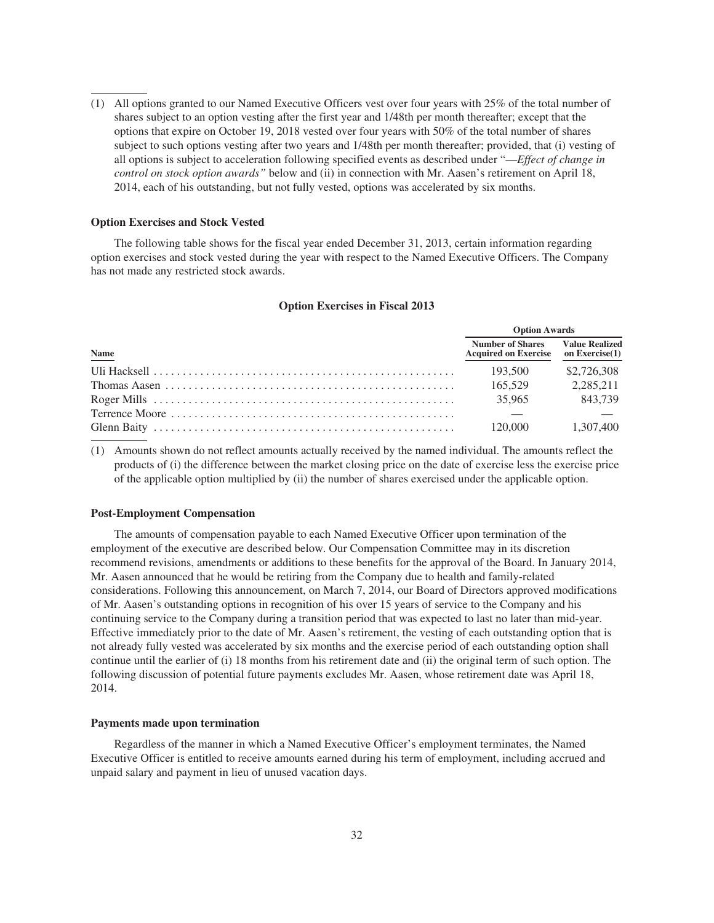(1) All options granted to our Named Executive Officers vest over four years with 25% of the total number of shares subject to an option vesting after the first year and 1/48th per month thereafter; except that the options that expire on October 19, 2018 vested over four years with 50% of the total number of shares subject to such options vesting after two years and 1/48th per month thereafter; provided, that (i) vesting of all options is subject to acceleration following specified events as described under "—*Effect of change in control on stock option awards"* below and (ii) in connection with Mr. Aasen's retirement on April 18, 2014, each of his outstanding, but not fully vested, options was accelerated by six months.

### **Option Exercises and Stock Vested**

The following table shows for the fiscal year ended December 31, 2013, certain information regarding option exercises and stock vested during the year with respect to the Named Executive Officers. The Company has not made any restricted stock awards.

#### **Option Exercises in Fiscal 2013**

|      | <b>Option Awards</b>                                           |                       |  |
|------|----------------------------------------------------------------|-----------------------|--|
| Name | <b>Number of Shares</b><br>Acquired on Exercise on Exercise(1) | <b>Value Realized</b> |  |
|      | 193.500                                                        | \$2,726,308           |  |
|      | 165.529                                                        | 2.285.211             |  |
|      | 35.965                                                         | 843.739               |  |
|      |                                                                |                       |  |
|      | 120.000                                                        | 1,307,400             |  |

(1) Amounts shown do not reflect amounts actually received by the named individual. The amounts reflect the products of (i) the difference between the market closing price on the date of exercise less the exercise price of the applicable option multiplied by (ii) the number of shares exercised under the applicable option.

### **Post-Employment Compensation**

The amounts of compensation payable to each Named Executive Officer upon termination of the employment of the executive are described below. Our Compensation Committee may in its discretion recommend revisions, amendments or additions to these benefits for the approval of the Board. In January 2014, Mr. Aasen announced that he would be retiring from the Company due to health and family-related considerations. Following this announcement, on March 7, 2014, our Board of Directors approved modifications of Mr. Aasen's outstanding options in recognition of his over 15 years of service to the Company and his continuing service to the Company during a transition period that was expected to last no later than mid-year. Effective immediately prior to the date of Mr. Aasen's retirement, the vesting of each outstanding option that is not already fully vested was accelerated by six months and the exercise period of each outstanding option shall continue until the earlier of (i) 18 months from his retirement date and (ii) the original term of such option. The following discussion of potential future payments excludes Mr. Aasen, whose retirement date was April 18, 2014.

#### **Payments made upon termination**

Regardless of the manner in which a Named Executive Officer's employment terminates, the Named Executive Officer is entitled to receive amounts earned during his term of employment, including accrued and unpaid salary and payment in lieu of unused vacation days.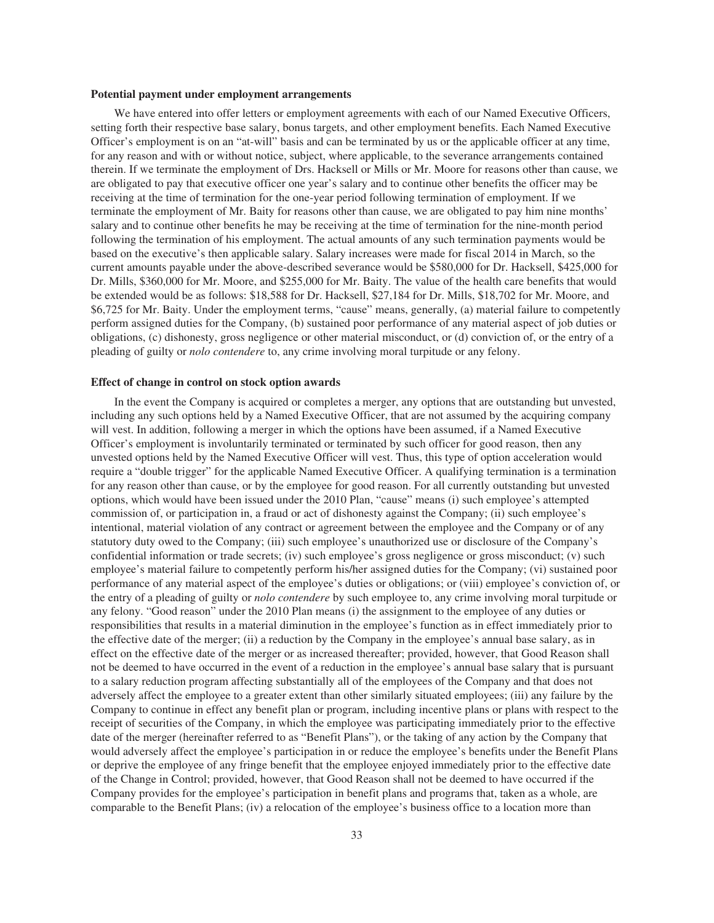### **Potential payment under employment arrangements**

We have entered into offer letters or employment agreements with each of our Named Executive Officers, setting forth their respective base salary, bonus targets, and other employment benefits. Each Named Executive Officer's employment is on an "at-will" basis and can be terminated by us or the applicable officer at any time, for any reason and with or without notice, subject, where applicable, to the severance arrangements contained therein. If we terminate the employment of Drs. Hacksell or Mills or Mr. Moore for reasons other than cause, we are obligated to pay that executive officer one year's salary and to continue other benefits the officer may be receiving at the time of termination for the one-year period following termination of employment. If we terminate the employment of Mr. Baity for reasons other than cause, we are obligated to pay him nine months' salary and to continue other benefits he may be receiving at the time of termination for the nine-month period following the termination of his employment. The actual amounts of any such termination payments would be based on the executive's then applicable salary. Salary increases were made for fiscal 2014 in March, so the current amounts payable under the above-described severance would be \$580,000 for Dr. Hacksell, \$425,000 for Dr. Mills, \$360,000 for Mr. Moore, and \$255,000 for Mr. Baity. The value of the health care benefits that would be extended would be as follows: \$18,588 for Dr. Hacksell, \$27,184 for Dr. Mills, \$18,702 for Mr. Moore, and \$6,725 for Mr. Baity. Under the employment terms, "cause" means, generally, (a) material failure to competently perform assigned duties for the Company, (b) sustained poor performance of any material aspect of job duties or obligations, (c) dishonesty, gross negligence or other material misconduct, or (d) conviction of, or the entry of a pleading of guilty or *nolo contendere* to, any crime involving moral turpitude or any felony.

### **Effect of change in control on stock option awards**

In the event the Company is acquired or completes a merger, any options that are outstanding but unvested, including any such options held by a Named Executive Officer, that are not assumed by the acquiring company will vest. In addition, following a merger in which the options have been assumed, if a Named Executive Officer's employment is involuntarily terminated or terminated by such officer for good reason, then any unvested options held by the Named Executive Officer will vest. Thus, this type of option acceleration would require a "double trigger" for the applicable Named Executive Officer. A qualifying termination is a termination for any reason other than cause, or by the employee for good reason. For all currently outstanding but unvested options, which would have been issued under the 2010 Plan, "cause" means (i) such employee's attempted commission of, or participation in, a fraud or act of dishonesty against the Company; (ii) such employee's intentional, material violation of any contract or agreement between the employee and the Company or of any statutory duty owed to the Company; (iii) such employee's unauthorized use or disclosure of the Company's confidential information or trade secrets; (iv) such employee's gross negligence or gross misconduct; (v) such employee's material failure to competently perform his/her assigned duties for the Company; (vi) sustained poor performance of any material aspect of the employee's duties or obligations; or (viii) employee's conviction of, or the entry of a pleading of guilty or *nolo contendere* by such employee to, any crime involving moral turpitude or any felony. "Good reason" under the 2010 Plan means (i) the assignment to the employee of any duties or responsibilities that results in a material diminution in the employee's function as in effect immediately prior to the effective date of the merger; (ii) a reduction by the Company in the employee's annual base salary, as in effect on the effective date of the merger or as increased thereafter; provided, however, that Good Reason shall not be deemed to have occurred in the event of a reduction in the employee's annual base salary that is pursuant to a salary reduction program affecting substantially all of the employees of the Company and that does not adversely affect the employee to a greater extent than other similarly situated employees; (iii) any failure by the Company to continue in effect any benefit plan or program, including incentive plans or plans with respect to the receipt of securities of the Company, in which the employee was participating immediately prior to the effective date of the merger (hereinafter referred to as "Benefit Plans"), or the taking of any action by the Company that would adversely affect the employee's participation in or reduce the employee's benefits under the Benefit Plans or deprive the employee of any fringe benefit that the employee enjoyed immediately prior to the effective date of the Change in Control; provided, however, that Good Reason shall not be deemed to have occurred if the Company provides for the employee's participation in benefit plans and programs that, taken as a whole, are comparable to the Benefit Plans; (iv) a relocation of the employee's business office to a location more than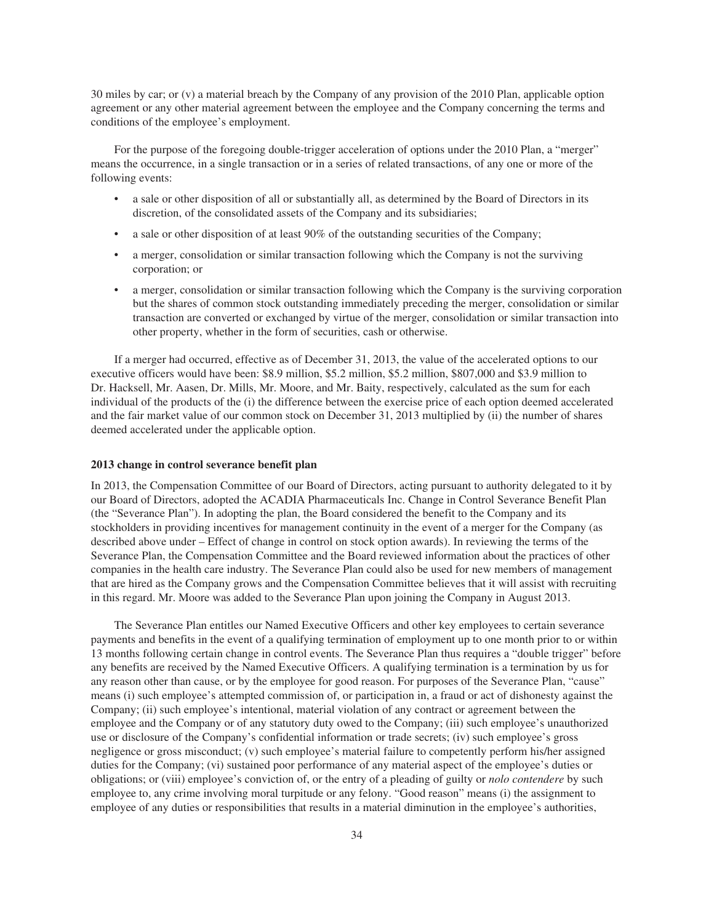30 miles by car; or (v) a material breach by the Company of any provision of the 2010 Plan, applicable option agreement or any other material agreement between the employee and the Company concerning the terms and conditions of the employee's employment.

For the purpose of the foregoing double-trigger acceleration of options under the 2010 Plan, a "merger" means the occurrence, in a single transaction or in a series of related transactions, of any one or more of the following events:

- a sale or other disposition of all or substantially all, as determined by the Board of Directors in its discretion, of the consolidated assets of the Company and its subsidiaries;
- a sale or other disposition of at least 90% of the outstanding securities of the Company;
- a merger, consolidation or similar transaction following which the Company is not the surviving corporation; or
- a merger, consolidation or similar transaction following which the Company is the surviving corporation but the shares of common stock outstanding immediately preceding the merger, consolidation or similar transaction are converted or exchanged by virtue of the merger, consolidation or similar transaction into other property, whether in the form of securities, cash or otherwise.

If a merger had occurred, effective as of December 31, 2013, the value of the accelerated options to our executive officers would have been: \$8.9 million, \$5.2 million, \$5.2 million, \$807,000 and \$3.9 million to Dr. Hacksell, Mr. Aasen, Dr. Mills, Mr. Moore, and Mr. Baity, respectively, calculated as the sum for each individual of the products of the (i) the difference between the exercise price of each option deemed accelerated and the fair market value of our common stock on December 31, 2013 multiplied by (ii) the number of shares deemed accelerated under the applicable option.

### **2013 change in control severance benefit plan**

In 2013, the Compensation Committee of our Board of Directors, acting pursuant to authority delegated to it by our Board of Directors, adopted the ACADIA Pharmaceuticals Inc. Change in Control Severance Benefit Plan (the "Severance Plan"). In adopting the plan, the Board considered the benefit to the Company and its stockholders in providing incentives for management continuity in the event of a merger for the Company (as described above under – Effect of change in control on stock option awards). In reviewing the terms of the Severance Plan, the Compensation Committee and the Board reviewed information about the practices of other companies in the health care industry. The Severance Plan could also be used for new members of management that are hired as the Company grows and the Compensation Committee believes that it will assist with recruiting in this regard. Mr. Moore was added to the Severance Plan upon joining the Company in August 2013.

The Severance Plan entitles our Named Executive Officers and other key employees to certain severance payments and benefits in the event of a qualifying termination of employment up to one month prior to or within 13 months following certain change in control events. The Severance Plan thus requires a "double trigger" before any benefits are received by the Named Executive Officers. A qualifying termination is a termination by us for any reason other than cause, or by the employee for good reason. For purposes of the Severance Plan, "cause" means (i) such employee's attempted commission of, or participation in, a fraud or act of dishonesty against the Company; (ii) such employee's intentional, material violation of any contract or agreement between the employee and the Company or of any statutory duty owed to the Company; (iii) such employee's unauthorized use or disclosure of the Company's confidential information or trade secrets; (iv) such employee's gross negligence or gross misconduct; (v) such employee's material failure to competently perform his/her assigned duties for the Company; (vi) sustained poor performance of any material aspect of the employee's duties or obligations; or (viii) employee's conviction of, or the entry of a pleading of guilty or *nolo contendere* by such employee to, any crime involving moral turpitude or any felony. "Good reason" means (i) the assignment to employee of any duties or responsibilities that results in a material diminution in the employee's authorities,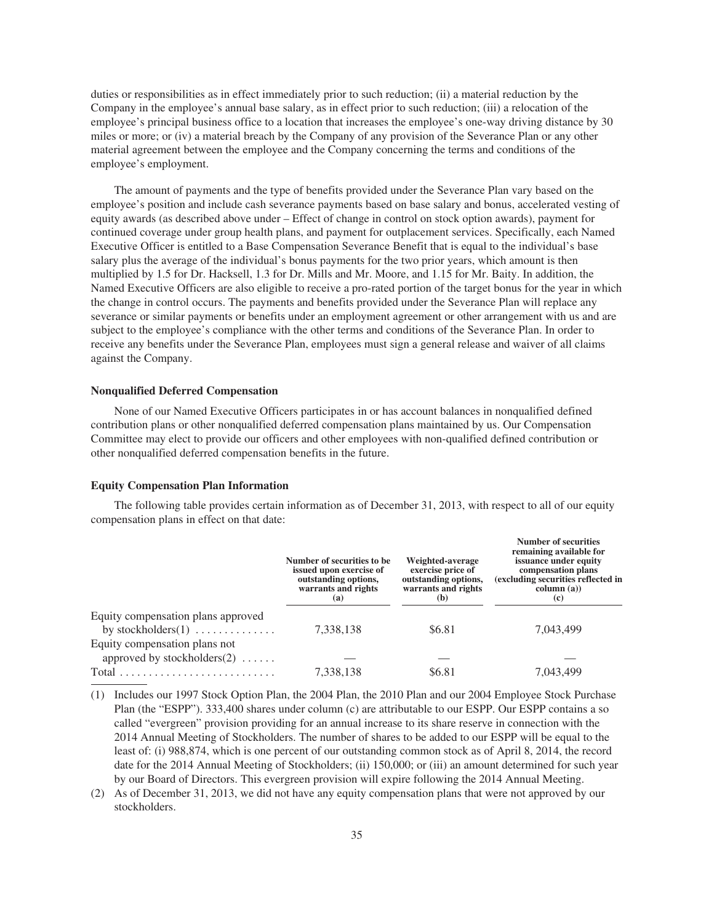duties or responsibilities as in effect immediately prior to such reduction; (ii) a material reduction by the Company in the employee's annual base salary, as in effect prior to such reduction; (iii) a relocation of the employee's principal business office to a location that increases the employee's one-way driving distance by 30 miles or more; or (iv) a material breach by the Company of any provision of the Severance Plan or any other material agreement between the employee and the Company concerning the terms and conditions of the employee's employment.

The amount of payments and the type of benefits provided under the Severance Plan vary based on the employee's position and include cash severance payments based on base salary and bonus, accelerated vesting of equity awards (as described above under – Effect of change in control on stock option awards), payment for continued coverage under group health plans, and payment for outplacement services. Specifically, each Named Executive Officer is entitled to a Base Compensation Severance Benefit that is equal to the individual's base salary plus the average of the individual's bonus payments for the two prior years, which amount is then multiplied by 1.5 for Dr. Hacksell, 1.3 for Dr. Mills and Mr. Moore, and 1.15 for Mr. Baity. In addition, the Named Executive Officers are also eligible to receive a pro-rated portion of the target bonus for the year in which the change in control occurs. The payments and benefits provided under the Severance Plan will replace any severance or similar payments or benefits under an employment agreement or other arrangement with us and are subject to the employee's compliance with the other terms and conditions of the Severance Plan. In order to receive any benefits under the Severance Plan, employees must sign a general release and waiver of all claims against the Company.

### **Nonqualified Deferred Compensation**

None of our Named Executive Officers participates in or has account balances in nonqualified defined contribution plans or other nonqualified deferred compensation plans maintained by us. Our Compensation Committee may elect to provide our officers and other employees with non-qualified defined contribution or other nonqualified deferred compensation benefits in the future.

#### **Equity Compensation Plan Information**

The following table provides certain information as of December 31, 2013, with respect to all of our equity compensation plans in effect on that date:

|                                                                 | Number of securities to be<br>issued upon exercise of<br>outstanding options,<br>warrants and rights<br>(a) | Weighted-average<br>exercise price of<br>outstanding options,<br>warrants and rights<br>(b) | <b>Number of securities</b><br>remaining available for<br>issuance under equity<br>compensation plans<br>(excluding securities reflected in<br>column (a))<br>(c) |
|-----------------------------------------------------------------|-------------------------------------------------------------------------------------------------------------|---------------------------------------------------------------------------------------------|-------------------------------------------------------------------------------------------------------------------------------------------------------------------|
| Equity compensation plans approved<br>by stockholders $(1)$     | 7,338,138                                                                                                   | \$6.81                                                                                      | 7,043,499                                                                                                                                                         |
| Equity compensation plans not<br>approved by stockholders $(2)$ |                                                                                                             |                                                                                             |                                                                                                                                                                   |
|                                                                 | 7,338,138                                                                                                   | \$6.81                                                                                      | 7,043,499                                                                                                                                                         |

<sup>(1)</sup> Includes our 1997 Stock Option Plan, the 2004 Plan, the 2010 Plan and our 2004 Employee Stock Purchase Plan (the "ESPP"). 333,400 shares under column (c) are attributable to our ESPP. Our ESPP contains a so called "evergreen" provision providing for an annual increase to its share reserve in connection with the 2014 Annual Meeting of Stockholders. The number of shares to be added to our ESPP will be equal to the least of: (i) 988,874, which is one percent of our outstanding common stock as of April 8, 2014, the record date for the 2014 Annual Meeting of Stockholders; (ii) 150,000; or (iii) an amount determined for such year by our Board of Directors. This evergreen provision will expire following the 2014 Annual Meeting.

<sup>(2)</sup> As of December 31, 2013, we did not have any equity compensation plans that were not approved by our stockholders.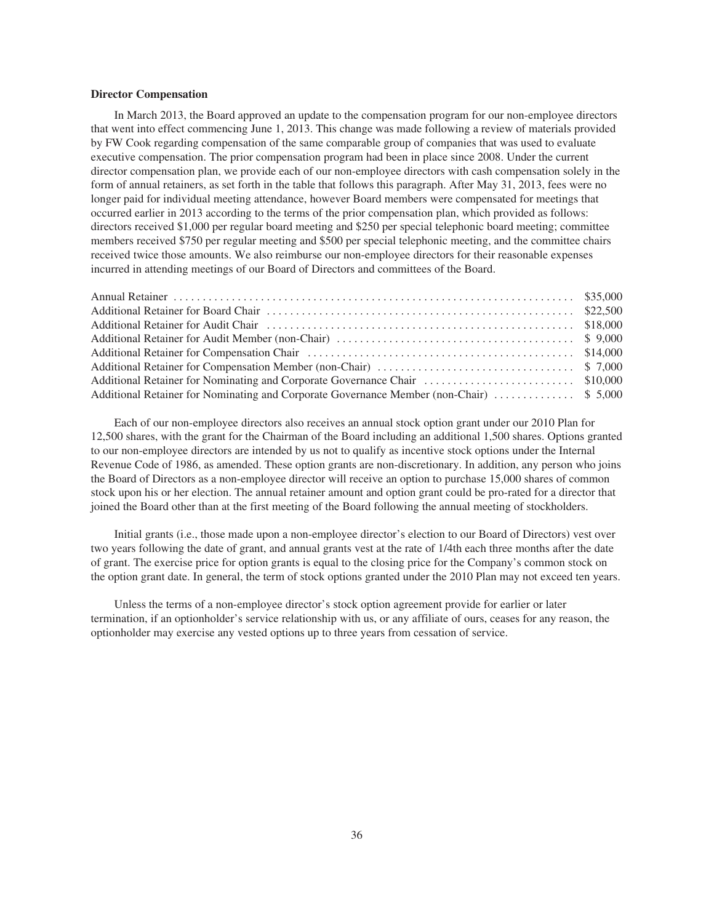### **Director Compensation**

In March 2013, the Board approved an update to the compensation program for our non-employee directors that went into effect commencing June 1, 2013. This change was made following a review of materials provided by FW Cook regarding compensation of the same comparable group of companies that was used to evaluate executive compensation. The prior compensation program had been in place since 2008. Under the current director compensation plan, we provide each of our non-employee directors with cash compensation solely in the form of annual retainers, as set forth in the table that follows this paragraph. After May 31, 2013, fees were no longer paid for individual meeting attendance, however Board members were compensated for meetings that occurred earlier in 2013 according to the terms of the prior compensation plan, which provided as follows: directors received \$1,000 per regular board meeting and \$250 per special telephonic board meeting; committee members received \$750 per regular meeting and \$500 per special telephonic meeting, and the committee chairs received twice those amounts. We also reimburse our non-employee directors for their reasonable expenses incurred in attending meetings of our Board of Directors and committees of the Board.

Each of our non-employee directors also receives an annual stock option grant under our 2010 Plan for 12,500 shares, with the grant for the Chairman of the Board including an additional 1,500 shares. Options granted to our non-employee directors are intended by us not to qualify as incentive stock options under the Internal Revenue Code of 1986, as amended. These option grants are non-discretionary. In addition, any person who joins the Board of Directors as a non-employee director will receive an option to purchase 15,000 shares of common stock upon his or her election. The annual retainer amount and option grant could be pro-rated for a director that joined the Board other than at the first meeting of the Board following the annual meeting of stockholders.

Initial grants (i.e., those made upon a non-employee director's election to our Board of Directors) vest over two years following the date of grant, and annual grants vest at the rate of 1/4th each three months after the date of grant. The exercise price for option grants is equal to the closing price for the Company's common stock on the option grant date. In general, the term of stock options granted under the 2010 Plan may not exceed ten years.

Unless the terms of a non-employee director's stock option agreement provide for earlier or later termination, if an optionholder's service relationship with us, or any affiliate of ours, ceases for any reason, the optionholder may exercise any vested options up to three years from cessation of service.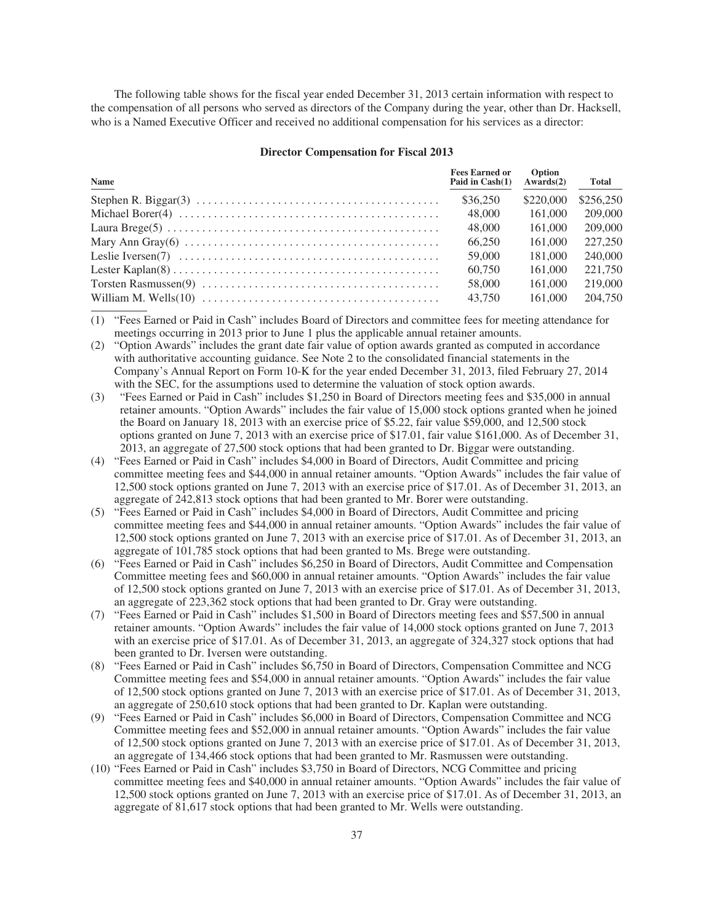The following table shows for the fiscal year ended December 31, 2013 certain information with respect to the compensation of all persons who served as directors of the Company during the year, other than Dr. Hacksell, who is a Named Executive Officer and received no additional compensation for his services as a director:

### **Director Compensation for Fiscal 2013**

| <b>Name</b> | <b>Fees Earned or</b><br>Paid in Cash(1) | Option<br>Awards(2) | Total     |
|-------------|------------------------------------------|---------------------|-----------|
|             | \$36,250                                 | \$220,000           | \$256,250 |
|             | 48,000                                   | 161,000             | 209,000   |
|             | 48,000                                   | 161,000             | 209,000   |
|             | 66.250                                   | 161,000             | 227.250   |
|             | 59,000                                   | 181,000             | 240,000   |
|             | 60.750                                   | 161,000             | 221,750   |
|             | 58,000                                   | 161,000             | 219,000   |
|             | 43.750                                   | 161,000             | 204,750   |

(1) "Fees Earned or Paid in Cash" includes Board of Directors and committee fees for meeting attendance for meetings occurring in 2013 prior to June 1 plus the applicable annual retainer amounts.

- (2) "Option Awards" includes the grant date fair value of option awards granted as computed in accordance with authoritative accounting guidance. See Note 2 to the consolidated financial statements in the Company's Annual Report on Form 10-K for the year ended December 31, 2013, filed February 27, 2014 with the SEC, for the assumptions used to determine the valuation of stock option awards.
- (3) "Fees Earned or Paid in Cash" includes \$1,250 in Board of Directors meeting fees and \$35,000 in annual retainer amounts. "Option Awards" includes the fair value of 15,000 stock options granted when he joined the Board on January 18, 2013 with an exercise price of \$5.22, fair value \$59,000, and 12,500 stock options granted on June 7, 2013 with an exercise price of \$17.01, fair value \$161,000. As of December 31, 2013, an aggregate of 27,500 stock options that had been granted to Dr. Biggar were outstanding.
- (4) "Fees Earned or Paid in Cash" includes \$4,000 in Board of Directors, Audit Committee and pricing committee meeting fees and \$44,000 in annual retainer amounts. "Option Awards" includes the fair value of 12,500 stock options granted on June 7, 2013 with an exercise price of \$17.01. As of December 31, 2013, an aggregate of 242,813 stock options that had been granted to Mr. Borer were outstanding.
- (5) "Fees Earned or Paid in Cash" includes \$4,000 in Board of Directors, Audit Committee and pricing committee meeting fees and \$44,000 in annual retainer amounts. "Option Awards" includes the fair value of 12,500 stock options granted on June 7, 2013 with an exercise price of \$17.01. As of December 31, 2013, an aggregate of 101,785 stock options that had been granted to Ms. Brege were outstanding.
- (6) "Fees Earned or Paid in Cash" includes \$6,250 in Board of Directors, Audit Committee and Compensation Committee meeting fees and \$60,000 in annual retainer amounts. "Option Awards" includes the fair value of 12,500 stock options granted on June 7, 2013 with an exercise price of \$17.01. As of December 31, 2013, an aggregate of 223,362 stock options that had been granted to Dr. Gray were outstanding.
- (7) "Fees Earned or Paid in Cash" includes \$1,500 in Board of Directors meeting fees and \$57,500 in annual retainer amounts. "Option Awards" includes the fair value of 14,000 stock options granted on June 7, 2013 with an exercise price of \$17.01. As of December 31, 2013, an aggregate of  $324,327$  stock options that had been granted to Dr. Iversen were outstanding.
- (8) "Fees Earned or Paid in Cash" includes \$6,750 in Board of Directors, Compensation Committee and NCG Committee meeting fees and \$54,000 in annual retainer amounts. "Option Awards" includes the fair value of 12,500 stock options granted on June 7, 2013 with an exercise price of \$17.01. As of December 31, 2013, an aggregate of 250,610 stock options that had been granted to Dr. Kaplan were outstanding.
- (9) "Fees Earned or Paid in Cash" includes \$6,000 in Board of Directors, Compensation Committee and NCG Committee meeting fees and \$52,000 in annual retainer amounts. "Option Awards" includes the fair value of 12,500 stock options granted on June 7, 2013 with an exercise price of \$17.01. As of December 31, 2013, an aggregate of 134,466 stock options that had been granted to Mr. Rasmussen were outstanding.
- (10) "Fees Earned or Paid in Cash" includes \$3,750 in Board of Directors, NCG Committee and pricing committee meeting fees and \$40,000 in annual retainer amounts. "Option Awards" includes the fair value of 12,500 stock options granted on June 7, 2013 with an exercise price of \$17.01. As of December 31, 2013, an aggregate of 81,617 stock options that had been granted to Mr. Wells were outstanding.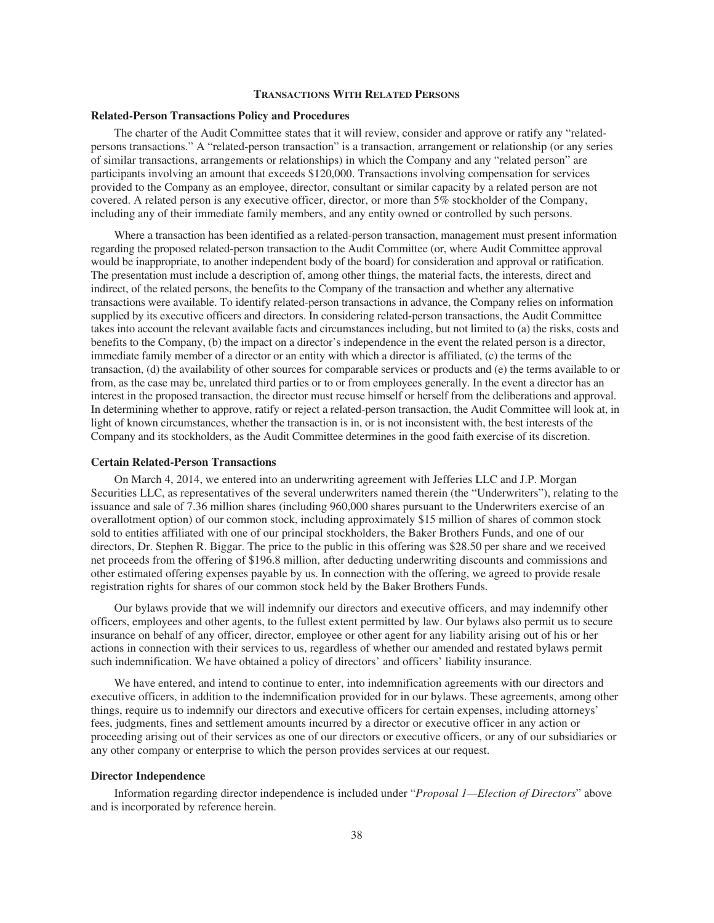### **TRANSACTIONS WITH RELATED PERSONS**

### **Related-Person Transactions Policy and Procedures**

The charter of the Audit Committee states that it will review, consider and approve or ratify any "relatedpersons transactions." A "related-person transaction" is a transaction, arrangement or relationship (or any series of similar transactions, arrangements or relationships) in which the Company and any "related person" are participants involving an amount that exceeds \$120,000. Transactions involving compensation for services provided to the Company as an employee, director, consultant or similar capacity by a related person are not covered. A related person is any executive officer, director, or more than 5% stockholder of the Company, including any of their immediate family members, and any entity owned or controlled by such persons.

Where a transaction has been identified as a related-person transaction, management must present information regarding the proposed related-person transaction to the Audit Committee (or, where Audit Committee approval would be inappropriate, to another independent body of the board) for consideration and approval or ratification. The presentation must include a description of, among other things, the material facts, the interests, direct and indirect, of the related persons, the benefits to the Company of the transaction and whether any alternative transactions were available. To identify related-person transactions in advance, the Company relies on information supplied by its executive officers and directors. In considering related-person transactions, the Audit Committee takes into account the relevant available facts and circumstances including, but not limited to (a) the risks, costs and benefits to the Company, (b) the impact on a director's independence in the event the related person is a director, immediate family member of a director or an entity with which a director is affiliated, (c) the terms of the transaction, (d) the availability of other sources for comparable services or products and (e) the terms available to or from, as the case may be, unrelated third parties or to or from employees generally. In the event a director has an interest in the proposed transaction, the director must recuse himself or herself from the deliberations and approval. In determining whether to approve, ratify or reject a related-person transaction, the Audit Committee will look at, in light of known circumstances, whether the transaction is in, or is not inconsistent with, the best interests of the Company and its stockholders, as the Audit Committee determines in the good faith exercise of its discretion.

#### **Certain Related-Person Transactions**

On March 4, 2014, we entered into an underwriting agreement with Jefferies LLC and J.P. Morgan Securities LLC, as representatives of the several underwriters named therein (the "Underwriters"), relating to the issuance and sale of 7.36 million shares (including 960,000 shares pursuant to the Underwriters exercise of an overallotment option) of our common stock, including approximately \$15 million of shares of common stock sold to entities affiliated with one of our principal stockholders, the Baker Brothers Funds, and one of our directors, Dr. Stephen R. Biggar. The price to the public in this offering was \$28.50 per share and we received net proceeds from the offering of \$196.8 million, after deducting underwriting discounts and commissions and other estimated offering expenses payable by us. In connection with the offering, we agreed to provide resale registration rights for shares of our common stock held by the Baker Brothers Funds.

Our bylaws provide that we will indemnify our directors and executive officers, and may indemnify other officers, employees and other agents, to the fullest extent permitted by law. Our bylaws also permit us to secure insurance on behalf of any officer, director, employee or other agent for any liability arising out of his or her actions in connection with their services to us, regardless of whether our amended and restated bylaws permit such indemnification. We have obtained a policy of directors' and officers' liability insurance.

We have entered, and intend to continue to enter, into indemnification agreements with our directors and executive officers, in addition to the indemnification provided for in our bylaws. These agreements, among other things, require us to indemnify our directors and executive officers for certain expenses, including attorneys' fees, judgments, fines and settlement amounts incurred by a director or executive officer in any action or proceeding arising out of their services as one of our directors or executive officers, or any of our subsidiaries or any other company or enterprise to which the person provides services at our request.

### **Director Independence**

Information regarding director independence is included under "*Proposal 1—Election of Directors*" above and is incorporated by reference herein.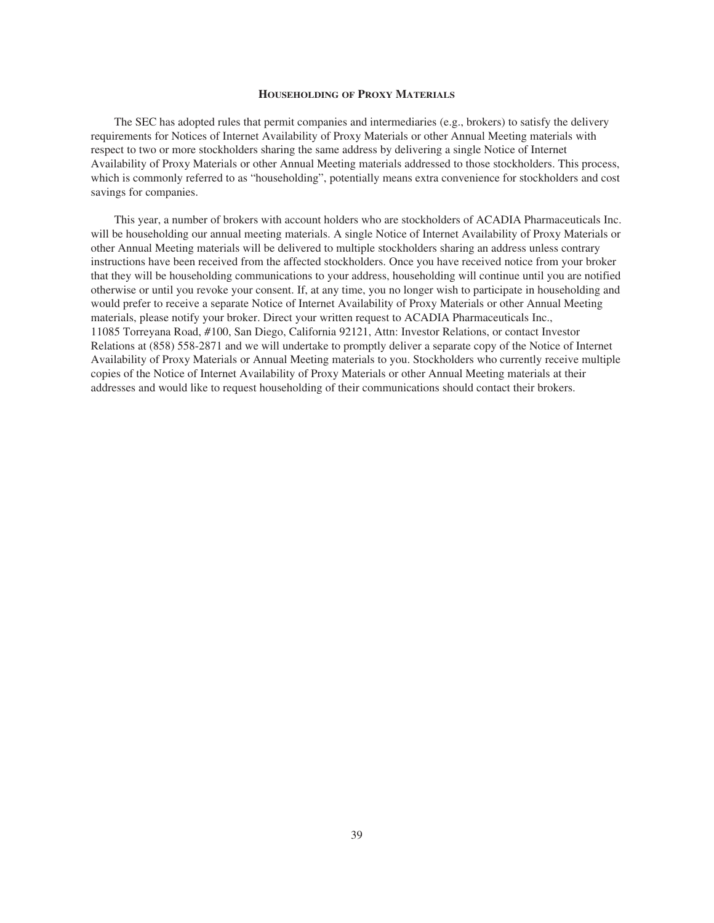### **HOUSEHOLDING OF PROXY MATERIALS**

The SEC has adopted rules that permit companies and intermediaries (e.g., brokers) to satisfy the delivery requirements for Notices of Internet Availability of Proxy Materials or other Annual Meeting materials with respect to two or more stockholders sharing the same address by delivering a single Notice of Internet Availability of Proxy Materials or other Annual Meeting materials addressed to those stockholders. This process, which is commonly referred to as "householding", potentially means extra convenience for stockholders and cost savings for companies.

This year, a number of brokers with account holders who are stockholders of ACADIA Pharmaceuticals Inc. will be householding our annual meeting materials. A single Notice of Internet Availability of Proxy Materials or other Annual Meeting materials will be delivered to multiple stockholders sharing an address unless contrary instructions have been received from the affected stockholders. Once you have received notice from your broker that they will be householding communications to your address, householding will continue until you are notified otherwise or until you revoke your consent. If, at any time, you no longer wish to participate in householding and would prefer to receive a separate Notice of Internet Availability of Proxy Materials or other Annual Meeting materials, please notify your broker. Direct your written request to ACADIA Pharmaceuticals Inc., 11085 Torreyana Road, #100, San Diego, California 92121, Attn: Investor Relations, or contact Investor Relations at (858) 558-2871 and we will undertake to promptly deliver a separate copy of the Notice of Internet Availability of Proxy Materials or Annual Meeting materials to you. Stockholders who currently receive multiple copies of the Notice of Internet Availability of Proxy Materials or other Annual Meeting materials at their addresses and would like to request householding of their communications should contact their brokers.